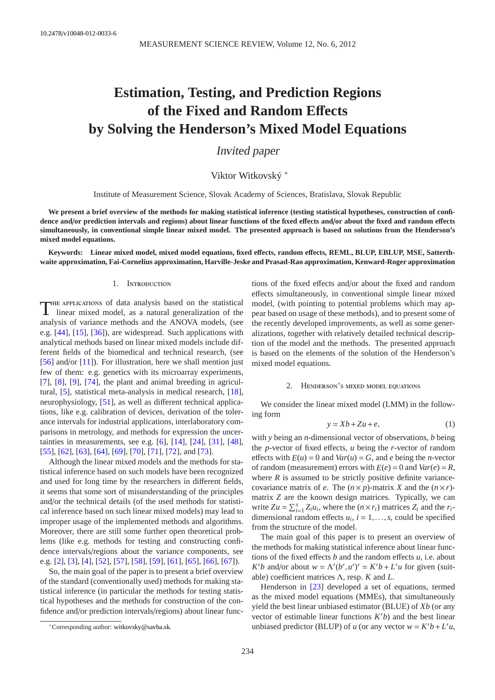# **Estimation, Testing, and Prediction Regions of the Fixed and Random E**ff**ects by Solving the Henderson's Mixed Model Equations**

Invited paper

Viktor Witkovský <sup>∗</sup>

Institute of Measurement Science, Slovak Academy of Sciences, Bratislava, Slovak Republic

**We present a brief overview of the methods for making statistical inference (testing statistical hypotheses, construction of confi**dence and/or prediction intervals and regions) about linear functions of the fixed effects and/or about the fixed and random effects **simultaneously, in conventional simple linear mixed model. The presented approach is based on solutions from the Henderson's mixed model equations.**

**Keywords: Linear mixed model, mixed model equations, fixed e**ff**ects, random e**ff**ects, REML, BLUP, EBLUP, MSE, Satterthwaite approximation, Fai-Cornelius approximation, Harville-Jeske and Prasad-Rao approximation, Kenward-Roger approximation**

## 1. Introduction

T he applications of data analysis based on the statistical linear mixed model, as a natural generalization of the analysis of variance methods and the ANOVA models, (see e.g. [\[44\]](#page-13-0), [\[15\]](#page-13-1), [\[36\]](#page-13-2)), are widespread. Such applications with analytical methods based on linear mixed models include different fields of the biomedical and technical research, (see [\[56\]](#page-14-0) and/or [\[11\]](#page-13-3)). For illustration, here we shall mention just few of them: e.g. genetics with its microarray experiments,  $[7]$ ,  $[8]$ ,  $[9]$ ,  $[74]$ , the plant and animal breeding in agricultural, [\[5\]](#page-12-2), statistical meta-analysis in medical research, [\[18\]](#page-13-5), neurophysiology, [\[51\]](#page-14-2), as well as different technical applications, like e.g. calibration of devices, derivation of the tolerance intervals for industrial applications, interlaboratory comparisons in metrology, and methods for expression the uncertainties in measurements, see e.g. [\[6\]](#page-12-3), [\[14\]](#page-13-6), [\[24\]](#page-13-7), [\[31\]](#page-13-8), [\[48\]](#page-14-3), [\[55\]](#page-14-4), [\[62\]](#page-14-5), [\[63\]](#page-14-6), [\[64\]](#page-14-7), [\[69\]](#page-14-8), [\[70\]](#page-14-9), [\[71\]](#page-14-10), [\[72\]](#page-14-11), and [\[73\]](#page-14-12).

Although the linear mixed models and the methods for statistical inference based on such models have been recognized and used for long time by the researchers in different fields, it seems that some sort of misunderstanding of the principles and/or the technical details (of the used methods for statistical inference based on such linear mixed models) may lead to improper usage of the implemented methods and algorithms. Moreover, there are still some further open theoretical problems (like e.g. methods for testing and constructing confidence intervals/regions about the variance components, see e.g. [\[2\]](#page-12-4), [\[3\]](#page-12-5), [\[4\]](#page-12-6), [\[52\]](#page-14-13), [\[57\]](#page-14-14), [\[58\]](#page-14-15), [\[59\]](#page-14-16), [\[61\]](#page-14-17), [\[65\]](#page-14-18), [\[66\]](#page-14-19), [\[67\]](#page-14-20)).

So, the main goal of the paper is to present a brief overview of the standard (conventionally used) methods for making statistical inference (in particular the methods for testing statistical hypotheses and the methods for construction of the confidence and/or prediction intervals/regions) about linear func-

tions of the fixed effects and/or about the fixed and random effects simultaneously, in conventional simple linear mixed model, (with pointing to potential problems which may appear based on usage of these methods), and to present some of the recently developed improvements, as well as some generalizations, together with relatively detailed technical description of the model and the methods. The presented approach is based on the elements of the solution of the Henderson's mixed model equations.

## <span id="page-0-0"></span>2. Henderson's mixed model equations

<span id="page-0-1"></span>We consider the linear mixed model (LMM) in the following form

$$
y = Xb + Zu + e,\tag{1}
$$

with *y* being an *n*-dimensional vector of observations, *b* being the *p*-vector of fixed effects, *u* being the *r*-vector of random effects with  $E(u) = 0$  and  $Var(u) = G$ , and *e* being the *n*-vector of random (measurement) errors with  $E(e) = 0$  and  $Var(e) = R$ , where  $R$  is assumed to be strictly positive definite variancecovariance matrix of *e*. The  $(n \times p)$ -matrix *X* and the  $(n \times r)$ matrix *Z* are the known design matrices. Typically, we can write  $Zu = \sum_{i=1}^{s} Z_i u_i$ , where the  $(n \times r_i)$  matrices  $Z_i$  and the  $r_i$ dimensional random effects  $u_i$ ,  $i = 1, \ldots, s$ , could be specified from the structure of the model.

The main goal of this paper is to present an overview of the methods for making statistical inference about linear functions of the fixed effects *b* and the random effects *u*, i.e. about *K*<sup>*'b*</sup> and/or about  $w = \Lambda'(b', u')' = K'b + L'u$  for given (suitable) coefficient matrices Λ, resp. *K* and *L*.

Henderson in [\[23\]](#page-13-9) developed a set of equations, termed as the mixed model equations (MMEs), that simultaneously yield the best linear unbiased estimator (BLUE) of *Xb* (or any vector of estimable linear functions *K* ′*b*) and the best linear unbiased predictor (BLUP) of *u* (or any vector  $w = K'b + L'u$ ,

<sup>∗</sup>Corresponding author: [witkovsky@savba.sk.](mailto:witkovsky@savba.sk)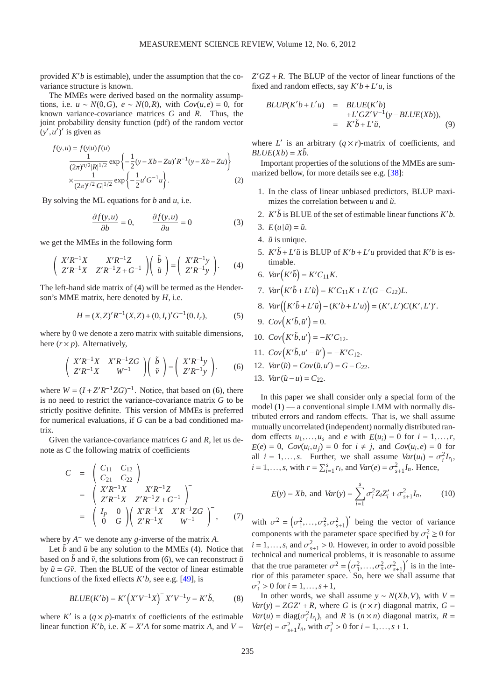provided  $K'b$  is estimable), under the assumption that the covariance structure is known.

The MMEs were derived based on the normality assumptions, i.e.  $u \sim N(0, G)$ ,  $e \sim N(0, R)$ , with  $Cov(u, e) = 0$ , for known variance-covariance matrices *G* and *R*. Thus, the joint probability density function (pdf) of the random vector  $(y', u')'$  is given as

$$
f(y, u) = f(y|u) f(u)
$$
  
\n
$$
\frac{1}{(2\pi)^{n/2} |R|^{1/2}} \exp \left\{-\frac{1}{2} (y - Xb - Zu)' R^{-1} (y - Xb - Zu) \right\}
$$
  
\n
$$
\times \frac{1}{(2\pi)^{r/2} |G|^{1/2}} \exp \left\{-\frac{1}{2} u' G^{-1} u \right\}.
$$
 (2)

By solving the ML equations for *b* and *u*, i.e.

$$
\frac{\partial f(y, u)}{\partial b} = 0, \qquad \frac{\partial f(y, u)}{\partial u} = 0 \tag{3}
$$

we get the MMEs in the following form

$$
\begin{pmatrix} X'R^{-1}X & X'R^{-1}Z \\ Z'R^{-1}X & Z'R^{-1}Z + G^{-1} \end{pmatrix} \begin{pmatrix} \tilde{b} \\ \tilde{u} \end{pmatrix} = \begin{pmatrix} X'R^{-1}y \\ Z'R^{-1}y \end{pmatrix}.
$$
 (4)

The left-hand side matrix of [\(4\)](#page-1-0) will be termed as the Henderson's MME matrix, here denoted by *H*, i.e.

<span id="page-1-1"></span>
$$
H = (X,Z)'R^{-1}(X,Z) + (0,I_r)'G^{-1}(0,I_r),
$$
\n(5)

where by 0 we denote a zero matrix with suitable dimensions, here  $(r \times p)$ . Alternatively,

$$
\begin{pmatrix} X'R^{-1}X & X'R^{-1}ZG \\ Z'R^{-1}X & W^{-1} \end{pmatrix} \begin{pmatrix} \tilde{b} \\ \tilde{v} \end{pmatrix} = \begin{pmatrix} X'R^{-1}y \\ Z'R^{-1}y \end{pmatrix}.
$$
 (6)

where  $W = (I + Z'R^{-1}ZG)^{-1}$ . Notice, that based on [\(6\)](#page-1-1), there is no need to restrict the variance-covariance matrix *G* to be strictly positive definite. This version of MMEs is preferred for numerical evaluations, if *G* can be a bad conditioned matrix.

Given the variance-covariance matrices *G* and *R*, let us denote as *C* the following matrix of coefficients

<span id="page-1-3"></span>
$$
C = \begin{pmatrix} C_{11} & C_{12} \\ C_{21} & C_{22} \end{pmatrix}
$$
  
= 
$$
\begin{pmatrix} X'R^{-1}X & X'R^{-1}Z \\ Z'R^{-1}X & Z'R^{-1}Z+G^{-1} \end{pmatrix}
$$
  
= 
$$
\begin{pmatrix} I_p & 0 \\ 0 & G \end{pmatrix} \begin{pmatrix} X'R^{-1}X & X'R^{-1}ZG \\ Z'R^{-1}X & W^{-1} \end{pmatrix}^-, \qquad (7)
$$

where by  $A^-$  we denote any *g*-inverse of the matrix  $A$ .

Let  $\tilde{b}$  and  $\tilde{u}$  be any solution to the MMEs [\(4\)](#page-1-0). Notice that based on  $\tilde{b}$  and  $\tilde{v}$ , the solutions from [\(6\)](#page-1-1), we can reconstruct  $\tilde{u}$ by  $\tilde{u} = G\tilde{v}$ . Then the BLUE of the vector of linear estimable functions of the fixed effects  $K/b$ , see e.g. [\[49\]](#page-14-21), is

$$
BLUE(K'b) = K'\left(X'V^{-1}X\right)^{-}X'V^{-1}y = K'\tilde{b},\tag{8}
$$

where  $K'$  is a  $(q \times p)$ -matrix of coefficients of the estimable linear function  $K'b$ , i.e.  $K = X'A$  for some matrix *A*, and  $V =$   $Z'GZ + R$ . The BLUP of the vector of linear functions of the fixed and random effects, say  $K'b + L'u$ , is

$$
BLUP(K'b + L'u) = BLUE(K'b)
$$
  
+L'GZ'V<sup>-1</sup>(y-BLUE(Xb)),  
= K'\tilde{b} + L'\tilde{u}, (9)

where  $L'$  is an arbitrary  $(q \times r)$ -matrix of coefficients, and  $BLUE(Xb) = X\tilde{b}$ .

Important properties of the solutions of the MMEs are summarized bellow, for more details see e.g. [\[38\]](#page-13-10):

- 1. In the class of linear unbiased predictors, BLUP maximizes the correlation between  $u$  and  $\tilde{u}$ .
- 2.  $K' \tilde{b}$  is BLUE of the set of estimable linear functions  $K'b$ .
- 3.  $E(u|\tilde{u}) = \tilde{u}$ .
- <span id="page-1-0"></span>4.  $\tilde{u}$  is unique.
- 5.  $K^{\prime}\tilde{b} + L^{\prime}\tilde{u}$  is BLUP of  $K^{\prime}b + L^{\prime}u$  provided that  $K^{\prime}b$  is estimable.
- 6.  $Var(K'\tilde{b}) = K'C_{11}K$ .
- 7.  $Var(K'\tilde{b} + L'\tilde{u}) = K'C_{11}K + L'(G C_{22})L$ .

8. 
$$
Var((K'\tilde{b}+L'\tilde{u})-(K'b+L'u)) = (K', L')C(K', L')'
$$
.

- 9.  $Cov(K' \tilde{b}, \tilde{u}') = 0.$
- 10.  $Cov(K'\tilde{b}, u') = -K'C_{12}.$
- 11.  $Cov(K'\tilde{b}, u' \tilde{u}') = -K'C_{12}.$
- 12.  $Var(\tilde{u}) = Cov(\tilde{u}, u') = G C_{22}$ .
- 13. *Var*( $\tilde{u} u$ ) =  $C_{22}$ .

In this paper we shall consider only a special form of the model  $(1)$  — a conventional simple LMM with normally distributed errors and random effects. That is, we shall assume mutually uncorrelated (independent) normally distributed random effects  $u_1, \ldots, u_s$  and *e* with  $E(u_i) = 0$  for  $i = 1, \ldots, r$ ,  $E(e) = 0$ ,  $Cov(u_i, u_j) = 0$  for  $i \neq j$ , and  $Cov(u_i, e) = 0$  for all  $i = 1, ..., s$ . Further, we shall assume  $Var(u_i) = \sigma_i^2 I_{r_i}$ ,  $i = 1, \ldots, s$ , with  $r = \sum_{i=1}^{s} r_i$ , and  $Var(e) = \sigma_{s+1}^2 I_n$ . Hence,

<span id="page-1-2"></span>
$$
E(y) = Xb, \text{ and } Var(y) = \sum_{i=1}^{s} \sigma_i^2 Z_i Z_i' + \sigma_{s+1}^2 I_n,
$$
 (10)

with  $\sigma^2 = (\sigma_1^2, ..., \sigma_s^2, \sigma_{s+1}^2)'$  being the vector of variance components with the parameter space specified by  $\sigma_i^2 \ge 0$  for  $i = 1, \ldots, s$ , and  $\sigma_{s+1}^2 > 0$ . However, in order to avoid possible technical and numerical problems, it is reasonable to assume that the true parameter  $\sigma^2 = (\sigma_1^2, \ldots, \sigma_s^2, \sigma_{s+1}^2)'$  is in the interior of this parameter space. So, here we shall assume that  $\sigma_i^2 > 0$  for  $i = 1, ..., s + 1$ ,

In other words, we shall assume  $y \sim N(Xb, V)$ , with  $V =$ *Var*(*y*) =  $ZGZ' + R$ , where *G* is  $(r \times r)$  diagonal matrix,  $G =$ *Var*(*u*) = diag( $\sigma_i^2 I_{r_i}$ ), and *R* is ( $n \times n$ ) diagonal matrix,  $R =$  $Var(e) = \sigma_{s+1}^2 I_n$ , with  $\sigma_i^2 > 0$  for  $i = 1, ..., s+1$ .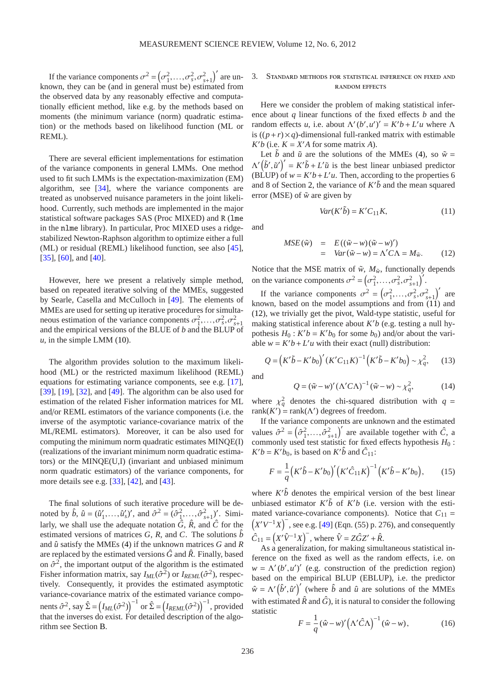If the variance components  $\sigma^2 = (\sigma_1^2, \ldots, \sigma_s^2, \sigma_{s+1}^2)'$  are unknown, they can be (and in general must be) estimated from the observed data by any reasonably effective and computationally efficient method, like e.g. by the methods based on moments (the minimum variance (norm) quadratic estimation) or the methods based on likelihood function (ML or REML).

There are several efficient implementations for estimation of the variance components in general LMMs. One method used to fit such LMMs is the expectation-maximization (EM) algorithm, see [\[34\]](#page-13-11), where the variance components are treated as unobserved nuisance parameters in the joint likelihood. Currently, such methods are implemented in the major statistical software packages SAS (Proc MIXED) and R (lme in the nlme library). In particular, Proc MIXED uses a ridgestabilized Newton-Raphson algorithm to optimize either a full (ML) or residual (REML) likelihood function, see also [\[45\]](#page-13-12), [\[35\]](#page-13-13), [\[60\]](#page-14-22), and [\[40\]](#page-13-14).

However, here we present a relatively simple method, based on repeated iterative solving of the MMEs, suggested by Searle, Casella and McCulloch in [\[49\]](#page-14-21). The elements of MMEs are used for setting up iterative procedures for simultaneous estimation of the variance components  $\sigma_1^2, \ldots, \sigma_s^2, \sigma_{s+1}^2$ and the empirical versions of the BLUE of *b* and the BLUP of  $u$ , in the simple LMM  $(10)$ .

The algorithm provides solution to the maximum likelihood (ML) or the restricted maximum likelihood (REML) equations for estimating variance components, see e.g. [\[17\]](#page-13-15), [\[39\]](#page-13-16), [\[19\]](#page-13-17), [\[32\]](#page-13-18), and [\[49\]](#page-14-21). The algorithm can be also used for estimation of the related Fisher information matrices for ML and/or REML estimators of the variance components (i.e. the inverse of the asymptotic variance-covariance matrix of the ML/REML estimators). Moreover, it can be also used for computing the minimum norm quadratic estimates MINQE(I) (realizations of the invariant minimum norm quadratic estimators) or the MINQE(U,I) (invariant and unbiased minimum norm quadratic estimators) of the variance components, for more details see e.g. [\[33\]](#page-13-19), [\[42\]](#page-13-20), and [\[43\]](#page-13-21).

The final solutions of such iterative procedure will be denoted by  $\hat{b}$ ,  $\hat{u} = (\hat{u}'_1, \dots, \hat{u}'_s)'$ , and  $\hat{\sigma}^2 = (\hat{\sigma}_1^2, \dots, \hat{\sigma}_{s+1}^2)'$ . Similarly, we shall use the adequate notation  $\hat{G}$ ,  $\hat{R}$ , and  $\hat{C}$  for the estimated versions of matrices *G*, *R*, and *C*. The solutions  $\hat{b}$ and  $\hat{u}$  satisfy the MMEs [\(4\)](#page-1-0) if the unknown matrices  $G$  and  $R$ are replaced by the estimated versions  $\hat{G}$  and  $\hat{R}$ . Finally, based on  $\hat{\sigma}^2$ , the important output of the algorithm is the estimated Fisher information matrix, say  $I_{ML}(\hat{\sigma}^2)$  or  $I_{REML}(\hat{\sigma}^2)$ , respectively. Consequently, it provides the estimated asymptotic variance-covariance matrix of the estimated variance components  $\hat{\sigma}^2$ , say  $\hat{\Sigma} = \left(I_{ML}(\hat{\sigma}^2)\right)^{-1}$  or  $\hat{\Sigma} = \left(I_{REML}(\hat{\sigma}^2)\right)^{-1}$ , provided that the inverses do exist. For detailed description of the algorithm see Section [B.](#page-11-0)

# 3. Standard methods for statistical inference on fixed and random effects

Here we consider the problem of making statistical inference about *q* linear functions of the fixed effects *b* and the random effects *u*, i.e. about  $\Lambda'(b', u')' = K'b + L'u$  where  $\Lambda$ is  $((p+r) \times q)$ -dimensional full-ranked matrix with estimable  $K'b$  (i.e.  $K = X'A$  for some matrix *A*).

Let  $\tilde{b}$  and  $\tilde{u}$  are the solutions of the MMEs [\(4\)](#page-1-0), so  $\tilde{w} =$  $\Lambda'(\tilde{b}', \tilde{u}')' = K'\tilde{b} + L'\tilde{u}$  is the best linear unbiased predictor (BLUP) of  $w = K'b + L'u$ . Then, according to the properties 6 and 8 of Section [2,](#page-0-1) the variance of  $K^{\prime}$ *b* and the mean squared error (MSE) of  $\tilde{w}$  are given by

<span id="page-2-0"></span>
$$
Var(K'\tilde{b}) = K'C_{11}K,
$$
\n(11)

and

<span id="page-2-1"></span>
$$
MSE(\tilde{w}) = E((\tilde{w} - w)(\tilde{w} - w)') = Var(\tilde{w} - w) = \Lambda' C \Lambda = M_{\tilde{w}}.
$$
 (12)

Notice that the MSE matrix of  $\tilde{w}$ ,  $M_{\tilde{w}}$ , functionally depends on the variance components  $\sigma^2 = (\sigma_1^2, \ldots, \sigma_s^2, \sigma_{s+1}^2)^T$ .

If the variance components  $\sigma^2 = (\sigma_1^2, ..., \sigma_s^2, \sigma_{s+1}^2)'$  are known, based on the model assumptions and from  $(11)$  and [\(12\)](#page-2-1), we trivially get the pivot, Wald-type statistic, useful for making statistical inference about *K* ′*b* (e.g. testing a null hypothesis  $H_0$ :  $K'b = K'b_0$  for some  $b_0$ ) and/or about the variable  $w = K'b + L'u$  with their exact (null) distribution:

$$
Q = (K'\tilde{b} - K'b_0)' (K'C_{11}K)^{-1} (K'\tilde{b} - K'b_0) \sim \chi_q^2, \quad (13)
$$

and

<span id="page-2-2"></span>
$$
Q = (\tilde{w} - w)' (\Lambda' C \Lambda)^{-1} (\tilde{w} - w) \sim \chi_q^2, \tag{14}
$$

where  $\chi_q^2$  denotes the chi-squared distribution with  $q =$ rank( $K'$ ) = rank( $\Lambda'$ ) degrees of freedom.

If the variance components are unknown and the estimated values  $\hat{\sigma}^2 = (\hat{\sigma}_1^2, ..., \hat{\sigma}_{s+1}^2)'$  are available together with  $\hat{C}$ , a commonly used test statistic for fixed effects hypothesis *H*<sup>0</sup> :  $K'b = K'b_0$ , is based on  $K' \hat{b}$  and  $\hat{C}_{11}$ :

$$
F = \frac{1}{q} (K' \hat{b} - K' b_0)' (K' \hat{C}_{11} K)^{-1} (K' \hat{b} - K' b_0), \quad (15)
$$

where  $K' \hat{b}$  denotes the empirical version of the best linear unbiased estimator  $K' \tilde{b}$  of  $K'b$  (i.e. version with the estimated variance-covariance components). Notice that  $C_{11}$  =  $(X'V^{-1}X)^{-}$ , see e.g. [\[49\]](#page-14-21) (Eqn. (55) p. 276), and consequently  $\hat{C}_{11} = (X'\hat{V}^{-1}X)^{-}$ , where  $\hat{V} = Z\hat{G}Z' + \hat{R}$ .

As a generalization, for making simultaneous statistical inference on the fixed as well as the random effects, i.e. on  $w = \Lambda'(b', u')'$  (e.g. construction of the prediction region) based on the empirical BLUP (EBLUP), i.e. the predictor  $\hat{w} = \Lambda'(\hat{b}', \hat{u}')'$  (where  $\hat{b}$  and  $\hat{u}$  are solutions of the MMEs with estimated  $\hat{R}$  and  $\hat{G}$ ), it is natural to consider the following statistic

<span id="page-2-3"></span>
$$
F = \frac{1}{q} (\hat{w} - w)' (\Lambda' \hat{C} \Lambda)^{-1} (\hat{w} - w), \qquad (16)
$$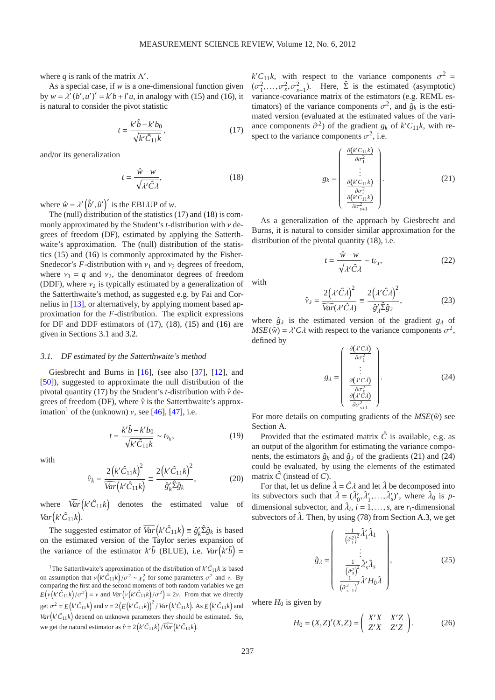where  $q$  is rank of the matrix  $\Lambda'$ .

As a special case, if *w* is a one-dimensional function given by  $w = \lambda^{i} (b', u')' = k'b + l'u$ , in analogy with [\(15\)](#page-2-2) and [\(16\)](#page-2-3), it is natural to consider the pivot statistic

<span id="page-3-0"></span>
$$
t = \frac{k'\hat{b} - k'b_0}{\sqrt{k'\hat{C}_{11}k}},\tag{17}
$$

and/or its generalization

<span id="page-3-1"></span>
$$
t = \frac{\hat{w} - w}{\sqrt{\lambda' \hat{C} \lambda}},\tag{18}
$$

where  $\hat{w} = \lambda'(\hat{b}', \hat{u}')'$  is the EBLUP of *w*.

The (null) distribution of the statistics [\(17\)](#page-3-0) and [\(18\)](#page-3-1) is commonly approximated by the Student's *t*-distribution with ν degrees of freedom (DF), estimated by applying the Satterthwaite's approximation. The (null) distribution of the statistics [\(15\)](#page-2-2) and [\(16\)](#page-2-3) is commonly approximated by the Fisher-Snedecor's *F*-distribution with  $v_1$  and  $v_2$  degrees of freedom, where  $v_1 = q$  and  $v_2$ , the denominator degrees of freedom (DDF), where  $v_2$  is typically estimated by a generalization of the Satterthwaite's method, as suggested e.g. by Fai and Cornelius in [\[13\]](#page-13-22), or alternatively, by applying moment based approximation for the *F*-distribution. The explicit expressions for DF and DDF estimators of [\(17\)](#page-3-0), [\(18\)](#page-3-1), [\(15\)](#page-2-2) and [\(16\)](#page-2-3) are given in Sections [3.1](#page-3-2) and [3.2.](#page-4-0)

#### <span id="page-3-2"></span>3.1. DF estimated by the Satterthwaite's method

Giesbrecht and Burns in [\[16\]](#page-13-23), (see also [\[37\]](#page-13-24), [\[12\]](#page-13-25), and [\[50\]](#page-14-23)), suggested to approximate the null distribution of the pivotal quantity [\(17\)](#page-3-0) by the Student's *t*-distribution with  $\hat{v}$  degrees of freedom (DF), where  $\hat{v}$  is the Satterthwaite's approx-imation<sup>[1](#page-3-3)</sup> of the (unknown) *v*, see [\[46\]](#page-13-26), [\[47\]](#page-13-27), i.e.

$$
t = \frac{k'\hat{b} - k'b_0}{\sqrt{k'\hat{C}_{11}k}} \sim t_{\hat{v}_k},\tag{19}
$$

with

$$
\hat{\nu}_k = \frac{2\left(k'\hat{C}_{11}k\right)^2}{\widehat{Var}\left(k'\hat{C}_{11}k\right)} \equiv \frac{2\left(k'\hat{C}_{11}k\right)^2}{\hat{g}_k'\hat{\Sigma}\hat{g}_k},\tag{20}
$$

where  $\widehat{Var}(k'\hat{C}_{11}k)$ the estimated value of  $Var(k'\hat{C}_{11}k)$ .

The suggested estimator of  $\widehat{Var}(k'\hat{C}_{11}k) \equiv \hat{g}'_k \hat{\Sigma} \hat{g}_k$  is based on the estimated version of the Taylor series expansion of the variance of the estimator  $k' \tilde{b}$  (BLUE), i.e.  $Var(k' \tilde{b}) =$ 

 $k'C_{11}k$ , with respect to the variance components  $\sigma^2 =$  $(\sigma_1^2, \ldots, \sigma_s^2, \sigma_{s+1}^2)$ . Here,  $\hat{\Sigma}$  is the estimated (asymptotic) variance-covariance matrix of the estimators (e.g. REML estimators) of the variance components  $\sigma^2$ , and  $\hat{g}_k$  is the estimated version (evaluated at the estimated values of the variance components  $\hat{\sigma}^2$ ) of the gradient  $g_k$  of  $k'C_{11}k$ , with respect to the variance components  $\sigma^2$ , i.e.

<span id="page-3-4"></span>
$$
g_k = \begin{pmatrix} \frac{\partial (k'C_{11}k)}{\partial \sigma_1^2} \\ \vdots \\ \frac{\partial (k'C_{11}k)}{\partial \sigma_s^2} \\ \frac{\partial (k'C_{11}k)}{\partial \sigma_{s+1}^2} \end{pmatrix} .
$$
 (21)

As a generalization of the approach by Giesbrecht and Burns, it is natural to consider similar approximation for the distribution of the pivotal quantity [\(18\)](#page-3-1), i.e.

$$
t = \frac{\hat{w} - w}{\sqrt{\lambda' \hat{C} \lambda}} \sim t_{\hat{v}_{\lambda}},
$$
 (22)

<span id="page-3-7"></span>with

$$
\hat{\nu}_{\lambda} = \frac{2(\lambda'\hat{C}\lambda)^2}{\overline{Var}(\lambda'\hat{C}\lambda)} \equiv \frac{2(\lambda'\hat{C}\lambda)^2}{\hat{g}_{\lambda}'\hat{\Sigma}\hat{g}_{\lambda}},
$$
(23)

where  $\hat{g}_{\lambda}$  is the estimated version of the gradient  $g_{\lambda}$  of  $MSE(\tilde{w}) = \lambda' C \lambda$  with respect to the variance components  $\sigma^2$ , defined by

<span id="page-3-5"></span>
$$
g_{\lambda} = \begin{pmatrix} \frac{\partial (\lambda' C \lambda)}{\partial \sigma_1^2} \\ \vdots \\ \frac{\partial (\lambda' C \lambda)}{\partial \sigma_s^2} \\ \frac{\partial (\lambda' C \lambda)}{\partial \sigma_{s+1}^2} \end{pmatrix} .
$$
 (24)

For more details on computing gradients of the  $MSE(\tilde{w})$  see Section [A.](#page-6-0)

Provided that the estimated matrix  $\hat{C}$  is available, e.g. as an output of the algorithm for estimating the variance components, the estimators  $\hat{g}_k$  and  $\hat{g}_\lambda$  of the gradients [\(21\)](#page-3-4) and [\(24\)](#page-3-5) could be evaluated, by using the elements of the estimated matrix  $\hat{C}$  (instead of  $C$ ).

For that, let us define  $\hat{\lambda} = \hat{C} \lambda$  and let  $\hat{\lambda}$  be decomposed into its subvectors such that  $\hat{\lambda} = (\hat{\lambda}'_0, \hat{\lambda}'_1, ..., \hat{\lambda}'_s)'$ , where  $\hat{\lambda}_0$  is pdimensional subvector, and  $\hat{\lambda}_i$ ,  $i = 1, \ldots, s$ , are  $r_i$ -dimensional subvectors of  $\lambda$ . Then, by using [\(78\)](#page-8-0) from Section [A.3,](#page-8-1) we get

<span id="page-3-6"></span>
$$
\hat{g}_{\lambda} = \begin{pmatrix} \frac{1}{(\hat{\sigma}_1^2)^2} \hat{\lambda}_1^{\prime} \hat{\lambda}_1 \\ \vdots \\ \frac{1}{(\hat{\sigma}_s^2)^2} \hat{\lambda}_s^{\prime} \hat{\lambda}_s \\ \frac{1}{(\hat{\sigma}_{s+1}^2)^2} \hat{\lambda}^{\prime} H_0 \hat{\lambda} \end{pmatrix},
$$
(25)

where  $H_0$  is given by

$$
H_0 = (X,Z)'(X,Z) = \begin{pmatrix} X'X & X'Z \\ Z'X & Z'Z \end{pmatrix}.
$$
 (26)

<span id="page-3-3"></span><sup>&</sup>lt;sup>1</sup>The Satterthwaite's approximation of the distribution of  $k' \hat{C}_{11} k$  is based on assumption that  $v(k'\hat{C}_{11}k)/\sigma^2 \sim \chi^2_v$  for some parameters  $\sigma^2$  and v. By comparing the first and the second moments of both random variables we get  $E(v(k'\hat{C}_{11}k)/\sigma^2) = v$  and  $Var(v(k'\hat{C}_{11}k)/\sigma^2) = 2v$ . From that we directly get  $\sigma^2 = E(k'\hat{C}_{11}k)$  and  $v = 2(E(k'\hat{C}_{11}k))^2 / Var(k'\hat{C}_{11}k)$ . As  $E(k'\hat{C}_{11}k)$  and  $Var(k'\hat{C}_{11}k)$  depend on unknown parameters they should be estimated. So, we get the natural estimator as  $\hat{v} = 2(k'\hat{C}_{11}k)/\widehat{Var}(k'\hat{C}_{11}k)$ .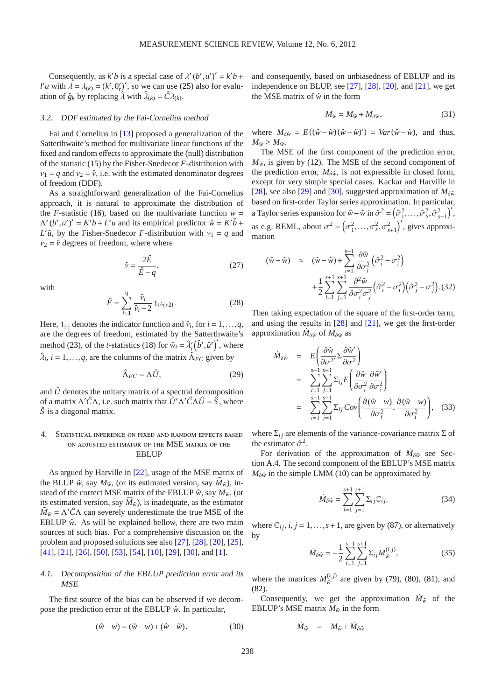Consequently, as  $k'b$  is a special case of  $\lambda'(b', u')' = k'b +$ *l'u* with  $\lambda = \lambda_{(k)} = (k', 0'_r)'$ , so we can use [\(25\)](#page-3-6) also for evaluation of  $\hat{g}_k$  by replacing  $\hat{\lambda}$  with  $\hat{\lambda}_{(k)} = \hat{C} \lambda_{(k)}$ .

## <span id="page-4-0"></span>3.2. DDF estimated by the Fai-Cornelius method

Fai and Cornelius in [\[13\]](#page-13-22) proposed a generalization of the Satterthwaite's method for multivariate linear functions of the fixed and random effects to approximate the (null) distribution of the statistic [\(15\)](#page-2-2) by the Fisher-Snedecor *F*-distribution with  $v_1 = q$  and  $v_2 = \hat{v}$ , i.e. with the estimated denominator degrees of freedom (DDF).

As a straightforward generalization of the Fai-Cornelius approach, it is natural to approximate the distribution of the *F*-statistic [\(16\)](#page-2-3), based on the multivariate function  $w =$  $\Lambda'(b', u')' = K'b + L'u$  and its empirical predictor  $\hat{w} = K'\hat{b} + L'u$ *L*<sup>'</sup> $\hat{u}$ , by the Fisher-Snedecor *F*-distribution with  $v_1 = q$  and  $v_2 = \hat{v}$  degrees of freedom, where where

$$
\hat{\nu} = \frac{2\hat{E}}{\hat{E} - q},\tag{27}
$$

with

$$
\hat{E} = \sum_{i=1}^{q} \frac{\hat{v}_i}{\hat{v}_i - 2} \mathbf{1}_{\{\hat{v}_i > 2\}}.
$$
\n(28)

Here,  $1_{\{\cdot\}}$  denotes the indicator function and  $\hat{v}_i$ , for  $i = 1, \ldots, q$ , are the degrees of freedom, estimated by the Satterthwaite's method [\(23\)](#page-3-7), of the *t*-statistics [\(18\)](#page-3-1) for  $\hat{w}_i = \hat{\lambda}'_i (\hat{b}', \hat{u}')'$ , where  $\hat{\lambda}_i$ ,  $i = 1, \dots, q$ , are the columns of the matrix  $\hat{\Lambda}_{FC}$  given by

$$
\hat{\Lambda}_{FC} = \Lambda \hat{U},\tag{29}
$$

and  $\hat{U}$  denotes the unitary matrix of a spectral decomposition of a matrix Λ ′*C*ˆΛ, i.e. such matrix that *U*ˆ ′Λ ′*C*ˆΛ*U*ˆ = *S*ˆ, where *S*ˆ is a diagonal matrix.

# 4. Statistical inference on fixed and random effects based on adjusted estimator of the MSE matrix of the **EBLUP**

As argued by Harville in [\[22\]](#page-13-28), usage of the MSE matrix of the BLUP  $\tilde{w}$ , say  $M_{\tilde{w}}$ , (or its estimated version, say  $M_{\tilde{w}}$ ), instead of the correct MSE matrix of the EBLUP  $\hat{w}$ , say  $M_{\hat{w}}$ , (or its estimated version, say  $M_{\hat{w}}$ ), is inadequate, as the estimator  $\widehat{M}_{\tilde{w}} = \Lambda' \hat{C} \Lambda$  can severely underestimate the true MSE of the EBLUP  $\hat{w}$ . As will be explained bellow, there are two main sources of such bias. For a comprehensive discussion on the problem and proposed solutions see also [\[27\]](#page-13-29), [\[28\]](#page-13-30), [\[20\]](#page-13-31), [\[25\]](#page-13-32), [\[41\]](#page-13-33), [\[21\]](#page-13-34), [\[26\]](#page-13-35), [\[50\]](#page-14-23), [\[53\]](#page-14-24), [\[54\]](#page-14-25), [\[10\]](#page-13-36), [\[29\]](#page-13-37), [\[30\]](#page-13-38), and [\[1\]](#page-12-7).

# 4.1. Decomposition of the EBLUP prediction error and its **MSE**

The first source of the bias can be observed if we decompose the prediction error of the EBLUP  $\hat{w}$ . In particular,

$$
(\hat{w} - w) = (\tilde{w} - w) + (\hat{w} - \tilde{w}),
$$
\n(30)

and consequently, based on unbiasedness of EBLUP and its independence on BLUP, see  $[27]$ ,  $[28]$ ,  $[20]$ , and  $[21]$ , we get the MSE matrix of  $\hat{w}$  in the form

$$
M_{\hat{w}} = M_{\tilde{w}} + M_{\delta \hat{w}},\tag{31}
$$

where  $M_{\delta \hat{w}} = E((\hat{w} - \tilde{w})(\hat{w} - \tilde{w})') = Var(\hat{w} - \tilde{w})$ , and thus,  $M_{\hat{w}} \geq M_{\tilde{w}}$ .

The MSE of the first component of the prediction error,  $M_{\tilde{w}}$ , is given by [\(12\)](#page-2-1). The MSE of the second component of the prediction error,  $M_{\delta \hat{w}}$ , is not expressible in closed form, except for very simple special cases. Kackar and Harville in [\[28\]](#page-13-30), see also [\[29\]](#page-13-37) and [\[30\]](#page-13-38), suggested approximation of  $M_{\delta \hat{w}}$ based on first-order Taylor series approximation. In particular, a Taylor series expansion for  $\hat{w} - \tilde{w}$  in  $\hat{\sigma}^2 = (\hat{\sigma}_1^2, \dots, \hat{\sigma}_s^2, \hat{\sigma}_{s+1}^2)'$ , as e.g. REML, about  $\sigma^2 = (\sigma_1^2, \ldots, \sigma_s^2, \sigma_{s+1}^2)'$ , gives approximation

$$
(\hat{w} - \tilde{w}) \approx (\tilde{w} - \tilde{w}) + \sum_{i=1}^{s+1} \frac{\partial \tilde{w}}{\partial \sigma_i^2} \left(\hat{\sigma}_i^2 - \sigma_i^2\right)
$$
  
+ 
$$
\frac{1}{2} \sum_{i=1}^{s+1} \sum_{j=1}^{s+1} \frac{\partial^2 \tilde{w}}{\partial \sigma_i^2 \sigma_j^2} \left(\hat{\sigma}_i^2 - \sigma_i^2\right) \left(\hat{\sigma}_j^2 - \sigma_j^2\right). (32)
$$

Then taking expectation of the square of the first-order term, and using the results in [\[28\]](#page-13-30) and [\[21\]](#page-13-34), we get the first-order approximation  $\dot{M}_{\delta \hat{w}}$  of  $M_{\delta \hat{w}}$  as

<span id="page-4-3"></span>
$$
\dot{M}_{\delta\hat{w}} = E\left(\frac{\partial \tilde{w}}{\partial \sigma^2} \Sigma \frac{\partial \tilde{w}'}{\partial \sigma^2}\right)
$$
\n
$$
= \sum_{i=1}^{s+1} \sum_{j=1}^{s+1} \Sigma_{ij} E\left(\frac{\partial \tilde{w}}{\partial \sigma_i^2} \frac{\partial \tilde{w}'}{\partial \sigma_i^2}\right)
$$
\n
$$
= \sum_{i=1}^{s+1} \sum_{j=1}^{s+1} \Sigma_{ij} Cov\left(\frac{\partial (\tilde{w} - w)}{\partial \sigma_i^2}, \frac{\partial (\tilde{w} - w)}{\partial \sigma_i^2}\right), \quad (33)
$$

where  $\Sigma_{ij}$  are elements of the variance-covariance matrix  $\Sigma$  of the estimator  $\hat{\sigma}^2$ .

For derivation of the approximation of  $\dot{M}_{\delta \hat{w}}$  see Section [A.4.](#page-8-2) The second component of the EBLUP's MSE matrix  $M_{\delta \hat{w}}$  in the simple LMM [\(10\)](#page-1-2) can be approximated by

$$
\dot{M}_{\delta \hat{w}} = \sum_{i=1}^{s+1} \sum_{j=1}^{s+1} \Sigma_{ij} C_{ij}.
$$
 (34)

<span id="page-4-2"></span>where  $\mathbb{C}_{i,j}$ ,  $i, j = 1, \ldots, s+1$ , are given by [\(87\)](#page-9-0), or alternatively by

$$
\dot{M}_{\delta\hat{w}} = -\frac{1}{2} \sum_{i=1}^{s+1} \sum_{j=1}^{s+1} \Sigma_{ij} M_{\tilde{w}}^{(i,j)},\tag{35}
$$

where the matrices  $M_{\tilde{w}}^{(i,j)}$  $w_{\tilde{w}}^{(l,1)}$  are given by [\(79\)](#page-8-3), [\(80\)](#page-8-4), [\(81\)](#page-8-5), and [\(82\)](#page-8-6).

Consequently, we get the approximation  $\dot{M}_{\hat{w}}$  of the EBLUP's MSE matrix  $M_{\hat{w}}$  in the form

<span id="page-4-1"></span>
$$
\dot{M}_{\hat{w}} = M_{\tilde{w}} + \dot{M}_{\delta \hat{w}}
$$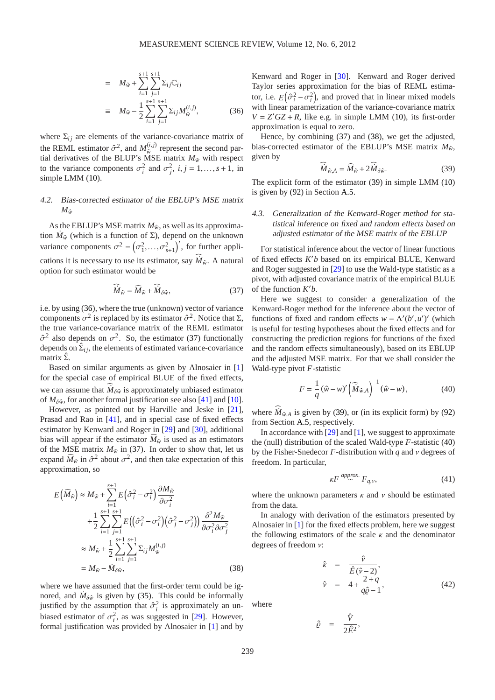$$
= M_{\tilde{w}} + \sum_{i=1}^{s+1} \sum_{j=1}^{s+1} \Sigma_{ij} \mathbb{C}_{ij}
$$
  
\n
$$
\equiv M_{\tilde{w}} - \frac{1}{2} \sum_{i=1}^{s+1} \sum_{j=1}^{s+1} \Sigma_{ij} M_{\tilde{w}}^{(i,j)},
$$
(36)

where  $\Sigma_{ij}$  are elements of the variance-covariance matrix of the REML estimator  $\hat{\sigma}^2$ , and  $M_{\tilde{w}}^{(i,j)}$  $\hat{w}^{(l,j)}$  represent the second partial derivatives of the BLUP's MSE matrix  $M_{\tilde{w}}$  with respect to the variance components  $\sigma_i^2$  and  $\sigma_j^2$ ,  $i, j = 1, ..., s + 1$ , in simple LMM  $(10)$ .

# 4.2. Bias-corrected estimator of the EBLUP's MSE matrix  $M_{\hat{w}}$

As the EBLUP's MSE matrix  $M_{\hat{w}}$ , as well as its approximation  $\dot{M}_{\hat{w}}$  (which is a function of  $\Sigma$ ), depend on the unknown variance components  $\sigma^2 = (\sigma_1^2, ..., \sigma_{s+1}^2)'$ , for further applications it is necessary to use its estimator, say  $\dot{M}_{\hat{w}}$ . A natural option for such estimator would be

<span id="page-5-0"></span>
$$
\widehat{M}_{\hat{w}} = \widehat{M}_{\tilde{w}} + \widehat{M}_{\delta \hat{w}},\tag{37}
$$

i.e. by using [\(36\)](#page-4-1), where the true (unknown) vector of variance components  $\sigma^2$  is replaced by its estimator  $\hat{\sigma}^2$ . Notice that  $\Sigma$ , the true variance-covariance matrix of the REML estimator  $\hat{\sigma}^2$  also depends on  $\sigma^2$ . So, the estimator [\(37\)](#page-5-0) functionally depends on  $\hat{\Sigma}_{ij}$ , the elements of estimated variance-covariance matrix  $\hat{\Sigma}$ .

Based on similar arguments as given by Alnosaier in [\[1\]](#page-12-7) for the special case of empirical BLUE of the fixed effects, we can assume that  $\dot{M}_{\delta \hat{w}}$  is approximately unbiased estimator of  $M_{\delta \hat{w}}$ , for another formal justification see also [\[41\]](#page-13-33) and [\[10\]](#page-13-36).

However, as pointed out by Harville and Jeske in [\[21\]](#page-13-34), Prasad and Rao in [\[41\]](#page-13-33), and in special case of fixed effects estimator by Kenward and Roger in [\[29\]](#page-13-37) and [\[30\]](#page-13-38), additional bias will appear if the estimator  $M_{\tilde{w}}$  is used as an estimators of the MSE matrix  $M_{\tilde{w}}$  in [\(37\)](#page-5-0). In order to show that, let us expand  $\widehat{M}_{\tilde{w}}$  in  $\hat{\sigma}^2$  about  $\sigma^2$ , and then take expectation of this approximation, so

<span id="page-5-1"></span>
$$
E(\widehat{M}_{\widetilde{w}}) \approx M_{\widetilde{w}} + \sum_{i=1}^{s+1} E(\hat{\sigma}_i^2 - \sigma_i^2) \frac{\partial M_{\widetilde{w}}}{\partial \sigma_i^2} + \frac{1}{2} \sum_{i=1}^{s+1} \sum_{j=1}^{s+1} E((\hat{\sigma}_i^2 - \sigma_i^2)(\hat{\sigma}_j^2 - \sigma_j^2)) \frac{\partial^2 M_{\widetilde{w}}}{\partial \sigma_i^2 \partial \sigma_j^2} \approx M_{\widetilde{w}} + \frac{1}{2} \sum_{i=1}^{s+1} \sum_{j=1}^{s+1} \Sigma_{ij} M_{\widetilde{w}}^{(i,j)} = M_{\widetilde{w}} - \dot{M}_{\delta \hat{w}},
$$
\n(38)

where we have assumed that the first-order term could be ignored, and  $\dot{M}_{\delta \hat{w}}$  is given by [\(35\)](#page-4-2). This could be informally justified by the assumption that  $\hat{\sigma}_i^2$  is approximately an unbiased estimator of  $\sigma_i^2$ , as was suggested in [\[29\]](#page-13-37). However, formal justification was provided by Alnosaier in [\[1\]](#page-12-7) and by

Kenward and Roger in [\[30\]](#page-13-38). Kenward and Roger derived Taylor series approximation for the bias of REML estimator, i.e.  $E(\hat{\sigma}_i^2 - \hat{\sigma}_i^2)$ , and proved that in linear mixed models with linear parametrization of the variance-covariance matrix  $V = Z' G Z + R$ , like e.g. in simple LMM [\(10\)](#page-1-2), its first-order approximation is equal to zero.

<span id="page-5-2"></span>Hence, by combining [\(37\)](#page-5-0) and [\(38\)](#page-5-1), we get the adjusted, bias-corrected estimator of the EBLUP's MSE matrix  $M_{\hat{w}}$ , given by

$$
\dot{M}_{\hat{w},A} = \widehat{M}_{\tilde{w}} + 2\dot{M}_{\delta\hat{w}}.\tag{39}
$$

The explicit form of the estimator [\(39\)](#page-5-2) in simple LMM [\(10\)](#page-1-2) is given by [\(92\)](#page-9-1) in Section [A.5.](#page-9-2)

# 4.3. Generalization of the Kenward-Roger method for statistical inference on fixed and random <sup>e</sup>ffects based on adjusted estimator of the MSE matrix of the EBLUP

For statistical inference about the vector of linear functions of fixed effects *K* ′*b* based on its empirical BLUE, Kenward and Roger suggested in [\[29\]](#page-13-37) to use the Wald-type statistic as a pivot, with adjusted covariance matrix of the empirical BLUE of the function *K* ′*b*.

Here we suggest to consider a generalization of the Kenward-Roger method for the inference about the vector of functions of fixed and random effects  $w = \Lambda'(b', u')'$  (which is useful for testing hypotheses about the fixed effects and for constructing the prediction regions for functions of the fixed and the random effects simultaneously), based on its EBLUP and the adjusted MSE matrix. For that we shall consider the Wald-type pivot *F*-statistic

<span id="page-5-3"></span>
$$
F = \frac{1}{q} (\hat{w} - w)' (\hat{M}_{\hat{w},A})^{-1} (\hat{w} - w),
$$
 (40)

where  $\dot{M}_{\hat{w},A}$  is given by [\(39\)](#page-5-2), or (in its explicit form) by [\(92\)](#page-9-1) from Section [A.5,](#page-9-2) respectively.

In accordance with  $[29]$  and  $[1]$ , we suggest to approximate the (null) distribution of the scaled Wald-type *F*-statistic [\(40\)](#page-5-3) by the Fisher-Snedecor *F*-distribution with *q* and ν degrees of freedom. In particular,

$$
\kappa F \stackrel{approx.}{\sim} F_{q,\nu},\tag{41}
$$

where the unknown parameters  $\kappa$  and  $\nu$  should be estimated from the data.

In analogy with derivation of the estimators presented by Alnosaier in [\[1\]](#page-12-7) for the fixed effects problem, here we suggest the following estimators of the scale  $\kappa$  and the denominator degrees of freedom ν:

$$
\hat{\kappa} = \frac{\hat{\nu}}{\hat{E}(\hat{\nu} - 2)},
$$
\n
$$
\hat{\nu} = 4 + \frac{2 + q}{q\hat{\nu} - 1},
$$
\n(42)

where

<span id="page-5-4"></span>
$$
\hat{\varrho} = \frac{\hat{V}}{2\hat{E}^2},
$$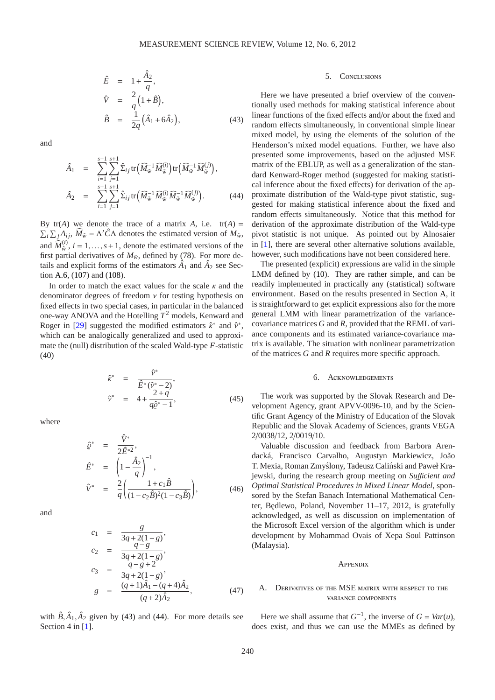$$
\hat{E} = 1 + \frac{\hat{A}_2}{q},
$$
\n
$$
\hat{V} = \frac{2}{q} (1 + \hat{B}),
$$
\n
$$
\hat{B} = \frac{1}{2q} (\hat{A}_1 + 6\hat{A}_2),
$$
\n(43)

and

<span id="page-6-1"></span>
$$
\hat{A}_1 = \sum_{i=1}^{s+1} \sum_{j=1}^{s+1} \hat{\Sigma}_{ij} \operatorname{tr} \left( \widehat{M}_{\widetilde{w}}^{-1} \widehat{M}_{\widetilde{w}}^{(i)} \right) \operatorname{tr} \left( \widehat{M}_{\widetilde{w}}^{-1} \widehat{M}_{\widetilde{w}}^{(j)} \right), \n\hat{A}_2 = \sum_{i=1}^{s+1} \sum_{j=1}^{s+1} \hat{\Sigma}_{ij} \operatorname{tr} \left( \widehat{M}_{\widetilde{w}}^{-1} \widehat{M}_{\widetilde{w}}^{(i)} \widehat{M}_{\widetilde{w}}^{-1} \widehat{M}_{\widetilde{w}}^{(j)} \right).
$$
\n(44)

By  $tr(A)$  we denote the trace of a matrix *A*, i.e.  $tr(A) =$  $\sum_i \sum_j A_{ij}$ ,  $\widehat{M}_{\tilde{w}} = \Lambda' \widehat{C} \Lambda$  denotes the estimated version of  $M_{\tilde{w}}$ , and  $\widehat{M}_{\tilde{w}}^{(i)}$ ,  $i = 1, ..., s + 1$ , denote the estimated versions of the first partial derivatives of  $M_{\tilde{w}}$ , defined by [\(78\)](#page-8-0). For more details and explicit forms of the estimators  $\hat{A}_1$  and  $\hat{A}_2$  see Section [A.6,](#page-9-3) [\(107\)](#page-10-0) and [\(108\)](#page-10-1).

In order to match the exact values for the scale  $\kappa$  and the denominator degrees of freedom  $\nu$  for testing hypothesis on fixed effects in two special cases, in particular in the balanced one-way ANOVA and the Hotelling *T* <sup>2</sup> models, Kenward and Roger in [\[29\]](#page-13-37) suggested the modified estimators  $\hat{\kappa}^*$  and  $\hat{\nu}^*$ , which can be analogically generalized and used to approximate the (null) distribution of the scaled Wald-type *F*-statistic [\(40\)](#page-5-3)

$$
\hat{\kappa}^* = \frac{\hat{\nu}^*}{\hat{E}^*(\hat{\nu}^* - 2)},
$$
\n
$$
\hat{\nu}^* = 4 + \frac{2+q}{q\hat{\nu}^* - 1},
$$
\n(45)

where

$$
\hat{\varrho}^* = \frac{\hat{V}^*}{2\hat{E}^{*2}},
$$
\n
$$
\hat{E}^* = \left(1 - \frac{\hat{A}_2}{q}\right)^{-1},
$$
\n
$$
\hat{V}^* = \frac{2}{q} \left(\frac{1 + c_1 \hat{B}}{(1 - c_2 \hat{B})^2 (1 - c_3 \hat{B})}\right),
$$
\n(46)

and

$$
c_1 = \frac{g}{3q+2(1-g)},
$$
  
\n
$$
c_2 = \frac{q-g}{3q+2(1-g)},
$$
  
\n
$$
c_3 = \frac{q-g+2}{3q+2(1-g)},
$$
  
\n
$$
g = \frac{(q+1)\hat{A}_1 - (q+4)\hat{A}_2}{(q+2)\hat{A}_2},
$$
\n(47)

with  $\hat{B}, \hat{A}_1, \hat{A}_2$  given by [\(43\)](#page-5-4) and [\(44\)](#page-6-1). For more details see Section 4 in [\[1\]](#page-12-7).

## 5. Conclusions

Here we have presented a brief overview of the conventionally used methods for making statistical inference about linear functions of the fixed effects and/or about the fixed and random effects simultaneously, in conventional simple linear mixed model, by using the elements of the solution of the Henderson's mixed model equations. Further, we have also presented some improvements, based on the adjusted MSE matrix of the EBLUP, as well as a generalization of the standard Kenward-Roger method (suggested for making statistical inference about the fixed effects) for derivation of the approximate distribution of the Wald-type pivot statistic, suggested for making statistical inference about the fixed and random effects simultaneously. Notice that this method for derivation of the approximate distribution of the Wald-type pivot statistic is not unique. As pointed out by Alnosaier in [\[1\]](#page-12-7), there are several other alternative solutions available, however, such modifications have not been considered here.

The presented (explicit) expressions are valid in the simple LMM defined by [\(10\)](#page-1-2). They are rather simple, and can be readily implemented in practically any (statistical) software environment. Based on the results presented in Section [A,](#page-6-0) it is straightforward to get explicit expressions also for the more general LMM with linear parametrization of the variancecovariance matrices *G* and *R*, provided that the REML of variance components and its estimated variance-covariance matrix is available. The situation with nonlinear parametrization of the matrices *G* and *R* requires more specific approach.

## 6. Acknowledgements

The work was supported by the Slovak Research and Development Agency, grant APVV-0096-10, and by the Scientific Grant Agency of the Ministry of Education of the Slovak Republic and the Slovak Academy of Sciences, grants VEGA 2/0038/12, 2/0019/10.

Valuable discussion and feedback from Barbora Arendacká, Francisco Carvalho, Augustyn Markiewicz, João T. Mexia, Roman Zmyślony, Tadeusz Caliński and Paweł Krajewski, during the research group meeting on *Su*ffi*cient and Optimal Statistical Procedures in Mixed Linear Model*, sponsored by the Stefan Banach International Mathematical Center, Bedlewo, Poland, November  $11-17$ , 2012, is gratefully acknowledged, as well as discussion on implementation of the Microsoft Excel version of the algorithm which is under development by Mohammad Ovais of Xepa Soul Pattinson (Malaysia).

#### **APPENDIX**

## <span id="page-6-0"></span>A. Derivatives of the MSE matrix with respect to the variance components

Here we shall assume that  $G^{-1}$ , the inverse of  $G = Var(u)$ , does exist, and thus we can use the MMEs as defined by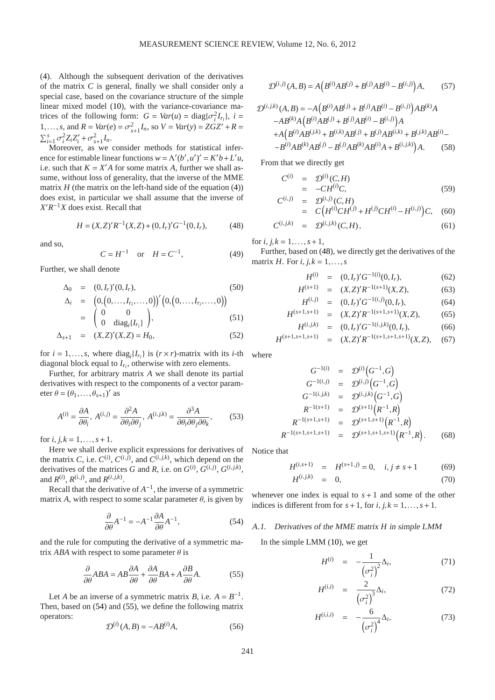[\(4\)](#page-1-0). Although the subsequent derivation of the derivatives of the matrix *C* is general, finally we shall consider only a special case, based on the covariance structure of the simple linear mixed model [\(10\)](#page-1-2), with the variance-covariance matrices of the following form:  $G = Var(u) = diag{\lbrace \sigma_i^2 I_{r_i} \rbrace}, i =$ 1,...,*s*, and  $R = Var(e) = \sigma_{s+1}^2 I_n$ , so  $V = Var(y) = ZGZ' + R =$  $\sum_{i=1}^{s} \sigma_i^2 Z_i Z_i' + \sigma_{s+1}^2 I_n.$ 

Moreover, as we consider methods for statistical inference for estimable linear functions  $w = \Lambda'(b', u')' = K'b + L'u$ , i.e. such that  $K = X'A$  for some matrix *A*, further we shall assume, without loss of generality, that the inverse of the MME matrix  $H$  (the matrix on the left-hand side of the equation  $(4)$ ) does exist, in particular we shall assume that the inverse of  $X'R^{-1}X$  does exist. Recall that

$$
H = (X,Z)'R^{-1}(X,Z) + (0,I_r)'G^{-1}(0,I_r),
$$
 (48)

and so,

<span id="page-7-2"></span>
$$
C = H^{-1} \quad \text{or} \quad H = C^{-1}, \tag{49}
$$

Further, we shall denote

<span id="page-7-5"></span>
$$
\Delta_0 = (0, I_r)'(0, I_r), \tag{50}
$$

$$
\Delta_i = \begin{pmatrix} 0, (0, \dots, I_{r_i}, \dots, 0) \\ 0 & 0 \\ 0 & \text{diag}_i \{I_{r_i}\} \end{pmatrix}, \qquad (51)
$$

$$
\Delta_{s+1} = (X,Z)'(X,Z) = H_0,\tag{52}
$$

for  $i = 1, ..., s$ , where  $\text{diag}_i\{I_{r_i}\}\$ is  $(r \times r)$ -matrix with its *i*-th diagonal block equal to *Ir<sup>i</sup>* , otherwise with zero elements.

Further, for arbitrary matrix *A* we shall denote its partial derivatives with respect to the components of a vector parameter  $\theta = (\theta_1, ..., \theta_{s+1})'$  as

$$
A^{(i)} = \frac{\partial A}{\partial \theta_i}, A^{(i,j)} = \frac{\partial^2 A}{\partial \theta_i \partial \theta_j}, A^{(i,j,k)} = \frac{\partial^3 A}{\partial \theta_i \partial \theta_j \partial \theta_k},
$$
(53)

for  $i, j, k = 1, \ldots, s + 1$ .

Here we shall derive explicit expressions for derivatives of the matrix *C*, i.e.  $C^{(i)}$ ,  $C^{(i,j)}$ , and  $C^{(i,j,k)}$ , which depend on the derivatives of the matrices *G* and *R*, i.e. on  $G^{(i)}$ ,  $G^{(i,j)}$ ,  $G^{(i,j,k)}$ , and  $R^{(i)}$ ,  $R^{(i,j)}$ , and  $R^{(i,j,k)}$ .

Recall that the derivative of  $A^{-1}$ , the inverse of a symmetric matrix *A*, with respect to some scalar parameter  $\theta$ , is given by

$$
\frac{\partial}{\partial \theta} A^{-1} = -A^{-1} \frac{\partial A}{\partial \theta} A^{-1},\tag{54}
$$

and the rule for computing the derivative of a symmetric matrix *ABA* with respect to some parameter  $\theta$  is

$$
\frac{\partial}{\partial \theta}ABA = AB\frac{\partial A}{\partial \theta} + \frac{\partial A}{\partial \theta}BA + A\frac{\partial B}{\partial \theta}A.
$$
 (55)

Let *A* be an inverse of a symmetric matrix *B*, i.e.  $A = B^{-1}$ . Then, based on [\(54\)](#page-7-0) and [\(55\)](#page-7-1), we define the following matrix operators:

$$
\mathcal{D}^{(i)}(A,B) = -AB^{(i)}A,\tag{56}
$$

$$
\mathcal{D}^{(i,j)}(A,B) = A\left(B^{(i)}AB^{(j)} + B^{(j)}AB^{(i)} - B^{(i,j)}\right)A,\tag{57}
$$

$$
\mathcal{D}^{(i,j,k)}(A,B) = -A\left(B^{(i)}AB^{(j)} + B^{(j)}AB^{(i)} - B^{(i,j)}\right)AB^{(k)}A
$$

$$
-AB^{(k)}A\left(B^{(i)}AB^{(j)} + B^{(j)}AB^{(i)} - B^{(i,j)}\right)A
$$

$$
+A\left(B^{(i)}AB^{(j,k)} + B^{(i,k)}AB^{(j)} + B^{(j)}AB^{(i,k)} + B^{(j,k)}AB^{(i)} - B^{(i)}AB^{(k)}AB^{(j)} - B^{(j)}AB^{(k)}AB^{(i)}A + B^{(i,j,k)}\right)A. \tag{58}
$$

From that we directly get

<span id="page-7-3"></span>
$$
C^{(i)} = \mathcal{D}^{(i)}(C, H) \n= -CH^{(i)}C, \nC^{(i,j)} = \mathcal{D}^{(i,j)}(C, H)
$$
\n(59)

$$
\begin{array}{rcl}\n(i,j) & = & \mathcal{D}^{(i,j)}(C,H) \\
& = & C\big(H^{(i)}CH^{(j)} + H^{(j)}CH^{(i)} - H^{(i,j)}\big)C,\quad (60)\n\end{array}
$$

$$
C^{(i,j,k)} = \mathcal{D}^{(i,j,k)}(C,H), \qquad (61)
$$

for *i*,  $j, k = 1, ..., s + 1$ ,

Further, based on [\(48\)](#page-7-2), we directly get the derivatives of the matrix *H*. For *i*,  $j, k = 1, \ldots, s$ 

$$
H^{(i)} = (0, I_r)'G^{-1(i)}(0, I_r), \qquad (62)
$$

$$
H^{(s+1)} = (X,Z)'R^{-1(s+1)}(X,Z), \tag{63}
$$

$$
H^{(i,j)} = (0, I_r)'G^{-1(i,j)}(0, I_r), \tag{64}
$$

$$
H^{(s+1,s+1)} = (X,Z)'R^{-1(s+1,s+1)}(X,Z),
$$
\n(65)  
\n
$$
H^{(i,j,k)} = (0,I_r)'G^{-1(i,j,k)}(0,I_r),
$$
\n(66)

$$
H^{(s+1,s+1,s+1)} = (X,Z)'R^{-1(s+1,s+1,s+1)}(X,Z), \quad (67)
$$

where

$$
G^{-1(i)} = \mathcal{D}^{(i)}(G^{-1}, G)
$$
  
\n
$$
G^{-1(i,j)} = \mathcal{D}^{(i,j)}(G^{-1}, G)
$$
  
\n
$$
G^{-1(i,j,k)} = \mathcal{D}^{(i,j,k)}(G^{-1}, G)
$$
  
\n
$$
R^{-1(s+1)} = \mathcal{D}^{(s+1)}(R^{-1}, R)
$$
  
\n
$$
R^{-1(s+1,s+1)} = \mathcal{D}^{(s+1,s+1)}(R^{-1}, R)
$$
  
\n
$$
R^{-1(s+1,s+1,s+1)} = \mathcal{D}^{(s+1,s+1,s+1)}(R^{-1}, R).
$$
 (68)

Notice that

$$
H^{(i,s+1)} = H^{(s+1,j)} = 0, \quad i, j \neq s+1 \tag{69}
$$
  

$$
H^{(i,j,k)} = 0, \tag{70}
$$

<span id="page-7-0"></span>whenever one index is equal to  $s + 1$  and some of the other indices is different from for  $s+1$ , for  $i, j, k = 1, \ldots, s+1$ .

## <span id="page-7-1"></span>A.1. Derivatives of the MME matrix *H* in simple LMM

In the simple LMM [\(10\)](#page-1-2), we get

<span id="page-7-4"></span>
$$
H^{(i)} = -\frac{1}{\left(\sigma_i^2\right)^2} \Delta_i, \tag{71}
$$

$$
H^{(i,i)} = \frac{2}{\left(\sigma_i^2\right)^3} \Delta_i, \tag{72}
$$

$$
H^{(i,i,i)} = -\frac{6}{\left(\sigma_i^2\right)^4} \Delta_i,\tag{73}
$$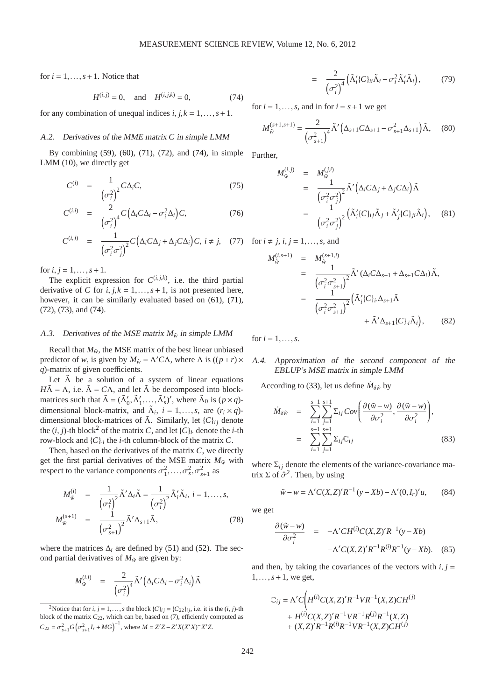<span id="page-8-7"></span>for  $i = 1, \ldots, s + 1$ . Notice that

$$
H^{(i,j)} = 0, \text{ and } H^{(i,j,k)} = 0,
$$
 (74)

for any combination of unequal indices  $i, j, k = 1, \ldots, s + 1$ .

## A.2. Derivatives of the MME matrix *C* in simple LMM

By combining [\(59\)](#page-7-3), [\(60\)](#page-7-3), [\(71\)](#page-7-4), [\(72\)](#page-7-4), and [\(74\)](#page-8-7), in simple LMM [\(10\)](#page-1-2), we directly get

$$
C^{(i)} = \frac{1}{\left(\sigma_i^2\right)^2} C \Delta_i C,\tag{75}
$$

$$
C^{(i,i)} = \frac{2}{\left(\sigma_i^2\right)^4} C \left(\Delta_i C \Delta_i - \sigma_i^2 \Delta_i\right) C, \tag{76}
$$

$$
C^{(i,j)} = \frac{1}{\left(\sigma_i^2 \sigma_j^2\right)^2} C\left(\Delta_i C \Delta_j + \Delta_j C \Delta_i\right) C, \ i \neq j, \quad (77)
$$

for  $i, j = 1, ..., s + 1$ .

The explicit expression for  $C^{(i,j,k)}$ , i.e. the third partial derivative of *C* for  $i, j, k = 1, \ldots, s + 1$ , is not presented here, however, it can be similarly evaluated based on  $(61)$ ,  $(71)$ , [\(72\)](#page-7-4), [\(73\)](#page-7-4), and [\(74\)](#page-8-7).

# <span id="page-8-1"></span>A.3. Derivatives of the MSE matrix  $M_{\tilde{w}}$  in simple LMM

Recall that  $M_{\tilde{w}}$ , the MSE matrix of the best linear unbiased predictor of *w*, is given by  $M_{\tilde{w}} = \Lambda' C \Lambda$ , where  $\Lambda$  is  $((p+r) \times$ *q*)-matrix of given coefficients.

Let  $\tilde{\Lambda}$  be a solution of a system of linear equations  $H\tilde{\Lambda} = \Lambda$ , i.e.  $\tilde{\Lambda} = C\Lambda$ , and let  $\tilde{\Lambda}$  be decomposed into blockmatrices such that  $\tilde{\Lambda} = (\tilde{\Lambda}'_0, \tilde{\Lambda}'_1, ..., \tilde{\Lambda}'_s)'$ , where  $\tilde{\Lambda}_0$  is  $(p \times q)$ dimensional block-matrix, and  $\tilde{\Lambda}_i$ ,  $i = 1, ..., s$ , are  $(r_i \times q)$ dimensional block-matrices of  $\tilde{\Lambda}$ . Similarly, let  $\{C\}_{ij}$  denote the  $(i, j)$ -th block<sup>[2](#page-8-8)</sup> of the matrix *C*, and let  $\{C\}_i$  denote the *i*-th row-block and  $\{C\}$ , the *i*-th column-block of the matrix *C*.

Then, based on the derivatives of the matrix *C*, we directly get the first partial derivatives of the MSE matrix  $M_{\tilde{w}}$  with respect to the variance components  $\sigma_1^2, \ldots, \sigma_s^2, \sigma_{s+1}^2$  as

<span id="page-8-0"></span>
$$
M_{\tilde{w}}^{(i)} = \frac{1}{\left(\sigma_i^2\right)^2} \tilde{\Lambda}' \Delta_i \tilde{\Lambda} = \frac{1}{\left(\sigma_i^2\right)^2} \tilde{\Lambda}'_i \tilde{\Lambda}_i, \ i = 1, \dots, s,
$$
  

$$
M_{\tilde{w}}^{(s+1)} = \frac{1}{\left(\sigma_{s+1}^2\right)^2} \tilde{\Lambda}' \Delta_{s+1} \tilde{\Lambda}, \tag{78}
$$

where the matrices  $\Delta_i$  are defined by [\(51\)](#page-7-5) and [\(52\)](#page-7-5). The second partial derivatives of  $M_{\tilde{w}}$  are given by:

<span id="page-8-3"></span>
$$
M_{\tilde{w}}^{(i,i)} = \frac{2}{(\sigma_i^2)^4} \tilde{\Lambda}' \Big(\Delta_i C \Delta_i - \sigma_i^2 \Delta_i\Big) \tilde{\Lambda}
$$

<span id="page-8-4"></span>
$$
= \frac{2}{\left(\sigma_i^2\right)^4} \left(\tilde{\Lambda}_i' \{C\}_{ii} \tilde{\Lambda}_i - \sigma_i^2 \tilde{\Lambda}_i' \tilde{\Lambda}_i\right), \tag{79}
$$

for  $i = 1, \ldots, s$ , and in for  $i = s + 1$  we get

$$
M_{\tilde{w}}^{(s+1,s+1)} = \frac{2}{(\sigma_{s+1}^2)^4} \tilde{\Lambda}' \left( \Delta_{s+1} C \Delta_{s+1} - \sigma_{s+1}^2 \Delta_{s+1} \right) \tilde{\Lambda}, \quad (80)
$$

Further,

<span id="page-8-5"></span>
$$
M_{\tilde{w}}^{(i,j)} = M_{\tilde{w}}^{(j,i)} = \frac{1}{\left(\sigma_i^2 \sigma_j^2\right)^2} \tilde{\Lambda}' \left(\Delta_i C \Delta_j + \Delta_j C \Delta_i\right) \tilde{\Lambda} = \frac{1}{\left(\sigma_i^2 \sigma_j^2\right)^2} \left(\tilde{\Lambda}'_i \{C\}_{ij} \tilde{\Lambda}_j + \tilde{\Lambda}'_j \{C\}_{ji} \tilde{\Lambda}_i\right), \quad (81)
$$

<span id="page-8-6"></span>
$$
M_{\tilde{w}}^{(i,s+1)} = M_{\tilde{w}}^{(s+1,i)}
$$
  
\n
$$
= \frac{1}{\left(\sigma_i^2 \sigma_{s+1}^2\right)^2} \tilde{\Lambda}' (\Delta_i C \Delta_{s+1} + \Delta_{s+1} C \Delta_i) \tilde{\Lambda},
$$
  
\n
$$
= \frac{1}{\left(\sigma_i^2 \sigma_{s+1}^2\right)^2} \left(\tilde{\Lambda}'_i \{C\}_i \Delta_{s+1} \tilde{\Lambda} + \tilde{\Lambda}' \Delta_{s+1} \{C\}_i \tilde{\Lambda}_i\right),
$$
 (82)

for  $i = 1, ..., s$ .

for  $i \neq j$ ,  $i, j = 1, \ldots, s$ , and

# <span id="page-8-2"></span>A.4. Approximation of the second component of the EBLUP's MSE matrix in simple LMM

According to [\(33\)](#page-4-3), let us define  $\dot{M}_{\delta \hat{w}}$  by

$$
\dot{M}_{\delta\hat{w}} = \sum_{i=1}^{s+1} \sum_{j=1}^{s+1} \Sigma_{ij} Cov\left(\frac{\partial(\tilde{w}-w)}{\partial \sigma_i^2}, \frac{\partial(\tilde{w}-w)}{\partial \sigma_i^2}\right),
$$
  
\n
$$
= \sum_{i=1}^{s+1} \sum_{j=1}^{s+1} \Sigma_{ij} C_{ij}
$$
(83)

where  $\Sigma_{ij}$  denote the elements of the variance-covariance matrix  $\Sigma$  of  $\hat{\sigma}^2$ . Then, by using

$$
\tilde{w} - w = \Lambda' C(X, Z)' R^{-1} (y - Xb) - \Lambda' (0, I_r)' u, \qquad (84)
$$

we get

$$
\frac{\partial(\tilde{w} - w)}{\partial \sigma_i^2} = -\Lambda' CH^{(i)}C(X, Z)'R^{-1}(y - Xb)
$$

$$
-\Lambda' C(X, Z)'R^{-1}R^{(i)}R^{-1}(y - Xb). \quad (85)
$$

and then, by taking the covariances of the vectors with  $i, j =$  $1, \ldots, s + 1$ , we get,

$$
\begin{aligned} \mathbb{C}_{ij} &= \Lambda' C \Bigg( H^{(i)} C(X,Z)' R^{-1} V R^{-1}(X,Z) C H^{(j)} \\ &+ H^{(i)} C(X,Z)' R^{-1} V R^{-1} R^{(j)} R^{-1}(X,Z) \\ &+ (X,Z)' R^{-1} R^{(i)} R^{-1} V R^{-1}(X,Z) C H^{(j)} \end{aligned}
$$

<span id="page-8-8"></span><sup>&</sup>lt;sup>2</sup>Notice that for *i*, *j* = 1,...,*s* the block {*C*}<sub>*ij*</sub> = {*C*<sub>22</sub>}*<sub><i>i*</sub><sub>*j*</sub>, i.e. it is the (*i*, *j*)-th block of the matrix *C*22, which can be, based on [\(7\)](#page-1-3), efficiently computed as  $C_{22} = \sigma_{s+1}^2 G \left( \sigma_{s+1}^2 I_r + MG \right)^{-1}$ , where  $M = Z'Z - Z'X(X'X)^{-1}X'Z$ .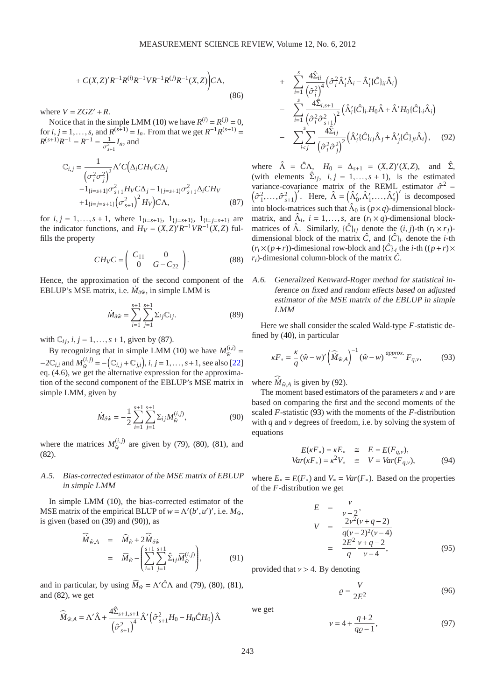+ 
$$
C(X,Z)'R^{-1}R^{(i)}R^{-1}VR^{-1}R^{(j)}R^{-1}(X,Z)
$$
 (86)

where  $V = ZGZ' + R$ .

Notice that in the simple LMM [\(10\)](#page-1-2) we have  $R^{(i)} = R^{(j)} = 0$ , for *i*, *j* = 1,...,*s*, and  $R^{(s+1)} = I_n$ . From that we get  $R^{-1}R^{(s+1)} =$  $R^{(s+1)}R^{-1} = R^{-1} = \frac{1}{2}$  $rac{1}{\sigma_{s+1}^2}I_n$ , and

<span id="page-9-0"></span>
$$
C_{i,j} = \frac{1}{(\sigma_i^2 \sigma_j^2)^2} \Lambda' C (\Delta_i C H_V C \Delta_j -1_{\{i=s+1\}} \sigma_{s+1}^2 H_V C \Delta_j - 1_{\{j=s+1\}} \sigma_{s+1}^2 \Delta_i C H_V +1_{\{i=j=s+1\}} (\sigma_{s+1}^2)^2 H_V C \Lambda,
$$
(87)

for  $i, j = 1, \ldots, s + 1$ , where  $1_{\{i=s+1\}}$ ,  $1_{\{j=s+1\}}$ ,  $1_{\{i=j=s+1\}}$  are the indicator functions, and  $H_V = (X,Z)'R^{-1}VR^{-1}(X,Z)$  fulfills the property

$$
CH_VC = \begin{pmatrix} C_{11} & 0 \\ 0 & G - C_{22} \end{pmatrix}.
$$
 (88)

Hence, the approximation of the second component of the EBLUP's MSE matrix, i.e.  $\dot{M}_{\delta \hat{w}}$ , in simple LMM is

$$
\dot{M}_{\delta \hat{w}} = \sum_{i=1}^{s+1} \sum_{j=1}^{s+1} \Sigma_{ij} C_{ij}.
$$
 (89)

with  $\mathbb{C}_{ij}$ ,  $i, j = 1, \ldots, s+1$ , given by [\(87\)](#page-9-0).

By recognizing that in simple LMM [\(10\)](#page-1-2) we have  $M_{\tilde{w}}^{(i,i)}$  $\frac{u^{(l,l)}}{\tilde{w}}$  =  $-2\mathbb{C}_{i,i}$  and  $M_{\tilde{w}}^{(i,j)}$  $w_{\tilde{w}}^{(i,j)} = -(\mathbb{C}_{i,j} + \mathbb{C}_{j,i}), i, j = 1, \ldots, s+1$ , see also [\[22\]](#page-13-28) eq. (4.6), we get the alternative expression for the approximation of the second component of the EBLUP's MSE matrix in simple LMM, given by

<span id="page-9-4"></span>
$$
\dot{M}_{\delta\hat{w}} = -\frac{1}{2} \sum_{i=1}^{s+1} \sum_{j=1}^{s+1} \Sigma_{ij} M_{\tilde{w}}^{(i,j)},\tag{90}
$$

where the matrices  $M_{\tilde{w}}^{(i,j)}$  $w_{\tilde{w}}^{(l,J)}$  are given by [\(79\)](#page-8-3), [\(80\)](#page-8-4), [\(81\)](#page-8-5), and [\(82\)](#page-8-6).

# <span id="page-9-2"></span>A.5. Bias-corrected estimator of the MSE matrix of EBLUP in simple LMM

In simple LMM [\(10\)](#page-1-2), the bias-corrected estimator of the MSE matrix of the empirical BLUP of  $w = \Lambda'(b', u')'$ , i.e.  $M_{\hat{w}}$ , is given (based on [\(39\)](#page-5-2) and [\(90\)](#page-9-4)), as

$$
\widehat{M}_{\hat{w},A} = \widehat{M}_{\tilde{w}} + 2\widehat{M}_{\delta\hat{w}} \n= \widehat{M}_{\tilde{w}} - \left( \sum_{i=1}^{s+1} \sum_{j=1}^{s+1} \widehat{\Sigma}_{ij} \widehat{M}_{\tilde{w}}^{(i,j)} \right),
$$
\n(91)

and in particular, by using  $\widehat{M}_{\tilde{w}} = \Lambda' \hat{C} \Lambda$  and [\(79\)](#page-8-3), [\(80\)](#page-8-4), [\(81\)](#page-8-5), and [\(82\)](#page-8-6), we get

<span id="page-9-1"></span>
$$
\widehat{\dot{M}}_{\hat{w},A} = \Lambda' \widehat{\Lambda} + \frac{4 \widehat{\Sigma}_{s+1,s+1}}{\left(\widehat{\sigma}_{s+1}^2\right)^4} \widehat{\Lambda}' \left(\widehat{\sigma}_{s+1}^2 H_0 - H_0 \widehat{C} H_0\right) \widehat{\Lambda}
$$

+ 
$$
\sum_{i=1}^{s} \frac{4\hat{\Sigma}_{ii}}{(\hat{\sigma}_i^2)^4} \left(\hat{\sigma}_i^2 \hat{\Lambda}_i' \hat{\Lambda}_i - \hat{\Lambda}_i' \{\hat{C}\}_{ii} \hat{\Lambda}_i\right)
$$
  
- 
$$
\sum_{i=1}^{s} \frac{4\hat{\Sigma}_{i,s+1}}{(\hat{\sigma}_i^2 \hat{\sigma}_{s+1}^2)^2} \left(\hat{\Lambda}_i' \{\hat{C}\}_{i} H_0 \hat{\Lambda} + \hat{\Lambda}' H_0 \{\hat{C}\}_{i} \hat{\Lambda}_i\right)
$$
  
- 
$$
\sum_{i
$$

where  $\hat{\Lambda} = \hat{C}\Lambda$ ,  $H_0 = \Delta_{s+1} = (X,Z)'(X,Z)$ , and  $\hat{\Sigma}$ , (with elements  $\hat{\Sigma}_{ij}$ ,  $i, j = 1,..., s + 1$ ), is the estimated variance-covariance matrix of the REML estimator  $\hat{\sigma}^2 = (\hat{\sigma}^2 - \hat{\sigma}^2)$  Here  $\hat{\Lambda} - (\hat{\Lambda}' \hat{\Lambda}' - \hat{\Lambda}')'$  is decomposed  $\hat{\sigma}_1^2, \ldots, \hat{\sigma}_{s+1}^2$ . Here,  $\hat{\Lambda} = (\hat{\Lambda}'_0, \hat{\Lambda}'_1, \ldots, \hat{\Lambda}'_s)'$  is decomposed into block-matrices such that  $\hat{\Lambda}_0$  is  $(p \times q)$ -dimensional blockmatrix, and  $\hat{\Lambda}_i$ ,  $i = 1, ..., s$ , are  $(r_i \times q)$ -dimensional blockmatrices of  $\hat{\Lambda}$ . Similarly,  $\{\hat{C}\}_{ij}$  denote the  $(i, j)$ -th  $(r_i \times r_j)$ dimensional block of the matrix  $\hat{C}$ , and  $\{\hat{C}\}_i$  denote the *i*-th  $(r_i \times (p+r))$ -dimesional row-block and  $\{\hat{C}\}\$ <sub>*i*</sub> the *i*-th  $((p+r) \times$  $r_i$ )-dimesional column-block of the matrix  $\hat{C}$ .

<span id="page-9-3"></span>A.6. Generalized Kenward-Roger method for statistical inference on fixed and random <sup>e</sup>ffects based on adjusted estimator of the MSE matrix of the EBLUP in simple LMM

Here we shall consider the scaled Wald-type *F*-statistic defined by [\(40\)](#page-5-3), in particular

<span id="page-9-5"></span>
$$
\kappa F_* = \frac{\kappa}{q} (\hat{w} - w)' \left( \widehat{M}_{\hat{w},A} \right)^{-1} (\hat{w} - w) \stackrel{approx.}{\sim} F_{q,v},\tag{93}
$$

where  $\dot{M}_{\hat{w},A}$  is given by [\(92\)](#page-9-1).

The moment based estimators of the parameters  $\kappa$  and  $\nu$  are based on comparing the first and the second moments of the scaled *F*-statistic [\(93\)](#page-9-5) with the moments of the *F*-distribution with  $q$  and  $\nu$  degrees of freedom, i.e. by solving the system of equations

$$
E(\kappa F_*) = \kappa E_* \quad \cong \quad E = E(F_{q,\nu}),
$$
  
\n
$$
Var(\kappa F_*) = \kappa^2 V_* \quad \cong \quad V = Var(F_{q,\nu}), \tag{94}
$$

where  $E_* = E(F_*)$  and  $V_* = Var(F_*)$ . Based on the properties of the *F*-distribution we get

$$
E = \frac{v}{v-2},
$$
  
\n
$$
V = \frac{2v^{2}(v+q-2)}{q(v-2)^{2}(v-4)}
$$
  
\n
$$
= \frac{2E^{2}}{q} \frac{v+q-2}{v-4},
$$
 (95)

provided that  $v > 4$ . By denoting

$$
\varrho = \frac{V}{2E^2} \tag{96}
$$

we get

$$
v = 4 + \frac{q+2}{q\varrho - 1},\tag{97}
$$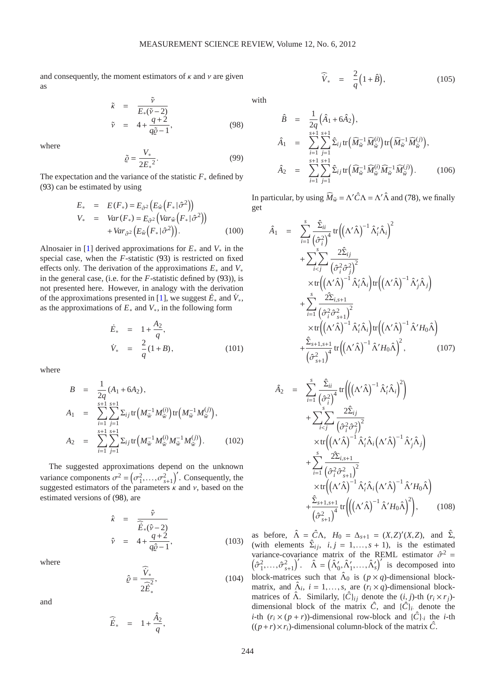and consequently, the moment estimators of  $\kappa$  and  $\nu$  are given as

<span id="page-10-2"></span>
$$
\begin{array}{rcl}\n\tilde{\kappa} & = & \frac{\tilde{\nu}}{E_*(\tilde{\nu} - 2)} \\
\tilde{\nu} & = & 4 + \frac{q + 2}{q\tilde{\varrho} - 1},\n\end{array} \tag{98}
$$

where

$$
\tilde{\varrho} = \frac{V_*}{2E_*^2}.\tag{99}
$$

The expectation and the variance of the statistic *F*<sup>∗</sup> defined by [\(93\)](#page-9-5) can be estimated by using

$$
E_* = E(F_*) = E_{\hat{\sigma}^2} \left( E_{\hat{w}} \left( F_* | \hat{\sigma}^2 \right) \right)
$$
  
\n
$$
V_* = Var(F_*) = E_{\hat{\sigma}^2} \left( Var_{\hat{w}} \left( F_* | \hat{\sigma}^2 \right) \right)
$$
  
\n
$$
+ Var_{\hat{\sigma}^2} \left( E_{\hat{w}} \left( F_* | \hat{\sigma}^2 \right) \right).
$$
 (100)

Alnosaier in [\[1\]](#page-12-7) derived approximations for *E*<sup>∗</sup> and *V*<sup>∗</sup> in the special case, when the *F*-statistic [\(93\)](#page-9-5) is restricted on fixed effects only. The derivation of the approximations *E*<sup>∗</sup> and *V*<sup>∗</sup> in the general case, (i.e. for the *F*-statistic defined by [\(93\)](#page-9-5)), is not presented here. However, in analogy with the derivation of the approximations presented in [\[1\]](#page-12-7), we suggest  $\dot{E}_*$  and  $\dot{V}_*$ , as the approximations of *E*<sup>∗</sup> and *V*∗, in the following form

$$
\dot{E}_{*} = 1 + \frac{A_{2}}{q}, \n\dot{V}_{*} = \frac{2}{q}(1+B),
$$
\n(101)

where

$$
B = \frac{1}{2q} (A_1 + 6A_2),
$$
  
\n
$$
A_1 = \sum_{i=1}^{s+1} \sum_{j=1}^{s+1} \Sigma_{ij} \text{tr} \Big( M_{\tilde{w}}^{-1} M_{\tilde{w}}^{(i)} \Big) \text{tr} \Big( M_{\tilde{w}}^{-1} M_{\tilde{w}}^{(j)} \Big),
$$
  
\n
$$
A_2 = \sum_{i=1}^{s+1} \sum_{j=1}^{s+1} \Sigma_{ij} \text{tr} \Big( M_{\tilde{w}}^{-1} M_{\tilde{w}}^{(i)} M_{\tilde{w}}^{-1} M_{\tilde{w}}^{(j)} \Big). \tag{102}
$$

The suggested approximations depend on the unknown variance components  $\sigma^2 = (\sigma_1^2, \ldots, \sigma_{s+1}^2)'$ . Consequently, the suggested estimators of the parameters  $\kappa$  and  $\nu$ , based on the estimated versions of [\(98\)](#page-10-2), are

$$
\hat{\kappa} = \frac{\hat{\nu}}{\hat{E}_*(\hat{\nu} - 2)}
$$
\n
$$
\hat{\nu} = 4 + \frac{q+2}{q\hat{\nu} - 1},
$$
\n(103)

where

$$
\hat{\varrho} = \frac{\widehat{V}_*}{2\widehat{E}_*^2},\tag{104}
$$

and

$$
\widehat{\dot{E}}_* = 1 + \frac{\hat{A}_2}{q},
$$

with

$$
\hat{B} = \frac{1}{2q} (\hat{A}_1 + 6\hat{A}_2), \n\hat{A}_1 = \sum_{i=1}^{s+1} \sum_{j=1}^{s+1} \hat{\Sigma}_{ij} \text{tr} (\widehat{M}_{\hat{w}}^{-1} \widehat{M}_{\hat{w}}^{(i)}) \text{tr} (\widehat{M}_{\hat{w}}^{-1} \widehat{M}_{\hat{w}}^{(j)}), \n\hat{A}_2 = \sum_{i=1}^{s+1} \sum_{j=1}^{s+1} \hat{\Sigma}_{ij} \text{tr} (\widehat{M}_{\hat{w}}^{-1} \widehat{M}_{\hat{w}}^{(i)} \widehat{M}_{\hat{w}}^{-1} \widehat{M}_{\hat{w}}^{(j)}).
$$
\n(106)

 $\widehat{V}_* = \frac{2}{3}$ 

*q*

 $(1+\hat{B})$ 

 $(105)$ 

In particular, by using  $\widehat{M}_{\tilde{w}} = \Lambda' \widehat{C} \Lambda = \Lambda' \widehat{\Lambda}$  and [\(78\)](#page-8-0), we finally get

<span id="page-10-0"></span>
$$
\hat{A}_{1} = \sum_{i=1}^{s} \frac{\hat{\Sigma}_{ii}}{(\hat{\sigma}_{i}^{2})^{4}} tr ((\Lambda' \hat{\Lambda})^{-1} \hat{\Lambda}'_{i} \hat{\Lambda}_{i})^{2} \n+ \sum_{i < j}^{s} \frac{2 \hat{\Sigma}_{ij}}{(\hat{\sigma}_{i}^{2} \hat{\sigma}_{j}^{2})^{2}} \n\times tr ((\Lambda' \hat{\Lambda})^{-1} \hat{\Lambda}'_{i} \hat{\Lambda}_{i}) tr ((\Lambda' \hat{\Lambda})^{-1} \hat{\Lambda}'_{j} \hat{\Lambda}_{j}) \n+ \sum_{i=1}^{s} \frac{2 \hat{\Sigma}_{i, s+1}}{(\hat{\sigma}_{i}^{2} \hat{\sigma}_{s+1}^{2})^{2}} \n\times tr ((\Lambda' \hat{\Lambda})^{-1} \hat{\Lambda}'_{i} \hat{\Lambda}_{i}) tr ((\Lambda' \hat{\Lambda})^{-1} \hat{\Lambda}' H_{0} \hat{\Lambda}) \n+ \frac{\hat{\Sigma}_{s+1, s+1}}{(\hat{\sigma}_{s+1}^{2})^{4}} tr ((\Lambda' \hat{\Lambda})^{-1} \hat{\Lambda}' H_{0} \hat{\Lambda})^{2}, \qquad (107)
$$

<span id="page-10-1"></span>
$$
\hat{A}_{2} = \sum_{i=1}^{s} \frac{\hat{\Sigma}_{ii}}{(\hat{\sigma}_{i}^{2})^{4}} tr \Biggl( \Biggl( \Lambda' \hat{\Lambda} \Biggr)^{-1} \hat{\Lambda}'_{i} \hat{\Lambda}_{i} \Biggr)^{2} \Biggr) \n+ \sum_{i
$$

as before,  $\hat{\Lambda} = \hat{C}\Lambda$ ,  $H_0 = \Delta_{s+1} = (X,Z)'(X,Z)$ , and  $\hat{\Sigma}$ , (with elements  $\hat{\Sigma}_{ij}$ ,  $i, j = 1,..., s + 1$ ), is the estimated variance-covariance matrix of the REML estimator  $\hat{\sigma}^2 = (\hat{\sigma}_1^2, ..., \hat{\sigma}_{s+1}^2)'$ .  $\hat{\Lambda} = (\hat{\Lambda}'_0, \hat{\Lambda}'_1, ..., \hat{\Lambda}'_s)'$  is decomposed into block-matrices such that  $\hat{\Lambda}_0$  is  $(p \times q)$ -dimensional blockmatrix, and  $\hat{\Lambda}_i$ ,  $i = 1, ..., s$ , are  $(r_i \times q)$ -dimensional blockmatrices of  $\hat{\Lambda}$ . Similarly,  $\{\hat{C}\}_{ij}$  denote the  $(i, j)$ -th  $(r_i \times r_j)$ dimensional block of the matrix  $\hat{C}$ , and  $\{\hat{C}\}_i$ <sup>*i*</sup> denote the *i*-th  $(r_i \times (p+r))$ -dimensional row-block and  $\{\hat{C}\}_i$  the *i*-th  $((p+r) \times r_i)$ -dimensional column-block of the matrix  $\hat{C}$ .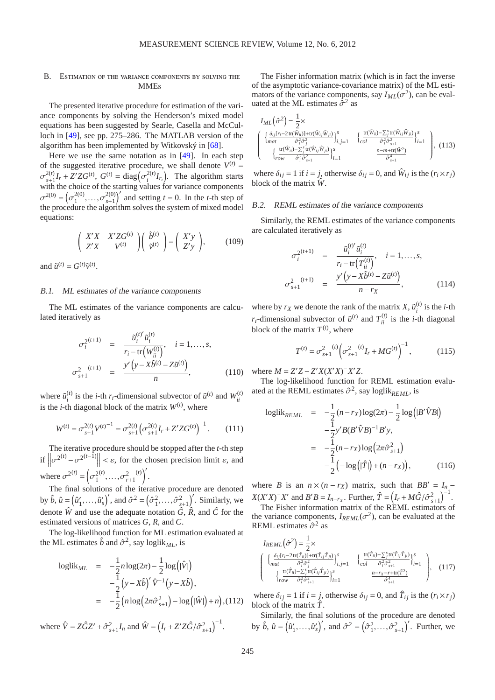# <span id="page-11-0"></span>B. ESTIMATION OF THE VARIANCE COMPONENTS BY SOLVING THE **MMEs**

The presented iterative procedure for estimation of the variance components by solving the Henderson's mixed model equations has been suggested by Searle, Casella and McCulloch in [\[49\]](#page-14-21), see pp. 275–286. The MATLAB version of the algorithm has been implemented by Witkovský in [\[68\]](#page-14-26).

Here we use the same notation as in [\[49\]](#page-14-21). In each step of the suggested iterative procedure, we shall denote  $V^{(t)}$  =  $\sigma^{2(t)}_{t+1}$  $\sum_{s+1}^{2(t)} I_r + Z' Z G^{(t)}, G^{(t)} = \text{diag} \left( \sigma_i^{2(t)} \right)$  $\binom{2(t)}{i}$ *I*<sub>*r*<sub>*i*</sub></sub>). The algorithm starts with the choice of the starting values for variance components  $\sigma^{2(0)} = (\sigma_1^{2(0)}$  $\sigma_{s+1}^{2(0)}, \ldots, \sigma_{s+1}^{2(0)}$  $\sum_{s+1}^{2(0)}$  and setting *t* = 0. In the *t*-th step of the procedure the algorithm solves the system of mixed model equations:

$$
\begin{pmatrix} X'X & X'ZG^{(t)} \\ Z'X & V^{(t)} \end{pmatrix} \begin{pmatrix} \tilde{b}^{(t)} \\ \tilde{v}^{(t)} \end{pmatrix} = \begin{pmatrix} X'y \\ Z'y \end{pmatrix}, \quad (109)
$$

and  $\tilde{u}^{(t)} = G^{(t)} \tilde{v}^{(t)}$ .

## B.1. ML estimates of the variance components

The ML estimates of the variance components are calculated iteratively as

$$
\sigma_i^{2^{(t+1)}} = \frac{\tilde{u}_i^{(t)'} \tilde{u}_i^{(t)}}{r_i - \text{tr}\left(W_{ii}^{(t)}\right)}, \quad i = 1, ..., s,
$$
\n
$$
\sigma_{s+1}^{2} \quad = \quad \frac{y' \left(y - X\tilde{b}^{(t)} - Z\tilde{u}^{(t)}\right)}{n}, \tag{110}
$$

where  $\tilde{u}_i^{(t)}$  $\hat{u}^{(t)}$  is the *i*-th *r*<sub>*i*</sub>-dimensional subvector of  $\tilde{u}^{(t)}$  and  $W_{ii}^{(t)}$ *ii* is the *i*-th diagonal block of the matrix  $W^{(t)}$ , where

$$
W^{(t)} = \sigma_{s+1}^{2(t)} V^{(t)}{}^{-1} = \sigma_{s+1}^{2(t)} \left( \sigma_{s+1}^{2(t)} I_r + Z' Z G^{(t)} \right)^{-1} . \tag{111}
$$

The iterative procedure should be stopped after the *t*-th step if  $\left\|\sigma^{2^{(t)}} - \sigma^{2^{(t-1)}}\right\| < \varepsilon$ , for the chosen precision limit  $\varepsilon$ , and where  $\sigma^{2(t)} = \left(\sigma_1^2\right)$  $(c^{(t)}, \ldots, c^{(t)}_{r+1})$  $(t)\bigg)^{\prime}$ .

The final solutions of the iterative procedure are denoted by  $\hat{b}$ ,  $\hat{u} = (\hat{u}'_1, \dots, \hat{u}'_s)'$ , and  $\hat{\sigma}^2 = (\hat{\sigma}_1^2, \dots, \hat{\sigma}_{s+1}^2)'$ . Similarly, we denote  $\hat{W}$  and use the adequate notation  $\hat{G}$ ,  $\hat{R}$ , and  $\hat{C}$  for the estimated versions of matrices *G*, *R*, and *C*.

The log-likelihood function for ML estimation evaluated at the ML estimates  $\hat{b}$  and  $\hat{\sigma}^2$ , say loglik<sub>*ML*</sub>, is

$$
\begin{array}{rcl} \n\text{loglik}_{ML} & = & -\frac{1}{2}n\log(2\pi) - \frac{1}{2}\log(|\hat{V}|) \\ \n& -\frac{1}{2}\left(y - X\hat{b}\right)'\hat{V}^{-1}\left(y - X\hat{b}\right), \\ \n& = & -\frac{1}{2}\left(n\log\left(2\pi\hat{\sigma}_{s+1}^{2}\right) - \log\left(|\hat{W}|\right) + n\right), \end{array} \tag{112}
$$

where  $\hat{V} = Z\hat{G}Z' + \hat{\sigma}_{s+1}^2 I_n$  and  $\hat{W} = (I_r + Z'Z\hat{G}/\hat{\sigma}_{s+1}^2)^{-1}$ .

The Fisher information matrix (which is in fact the inverse of the asymptotic variance-covariance matrix) of the ML estimators of the variance components, say  $I_{ML}(\sigma^2)$ , can be evaluated at the ML estimates  $\hat{\sigma}^2$  as

<span id="page-11-1"></span>
$$
I_{ML}(\hat{\sigma}^2) = \frac{1}{2} \times \left\{ \begin{array}{l} \left\{ \frac{\delta_{ij}[r_i - 2\operatorname{tr}(\hat{W}_{ii})] + \operatorname{tr}(\hat{W}_{ij}\hat{W}_{ji})}{\delta_i^2 \hat{\sigma}_j^2} \right\}_{i,j=1}^s & \left\{ \frac{\operatorname{tr}(\hat{W}_{ii}) - \sum_{j}^s \operatorname{tr}(\hat{W}_{ij}\hat{W}_{ji})}{\delta_i^2 \hat{\sigma}_{s+1}^2} \right\}_{i=1}^s \\ \left\{ \begin{array}{l} \left( \frac{\operatorname{tr}(\hat{W}_{ii}) - \sum_{j}^s \operatorname{tr}(\hat{W}_{ij}\hat{W}_{ji})}{\delta_i^2 \hat{\sigma}_{s+1}^2} \right)_{i=1}^s & \frac{n - m + \operatorname{tr}(\hat{W}^2)}{\hat{\sigma}_{s+1}^4} \\ \end{array} \right\}, \tag{113}
$$

where  $\delta_{ij} = 1$  if  $i = j$ , otherwise  $\delta_{ij} = 0$ , and  $\hat{W}_{ij}$  is the  $(r_i \times r_j)$ block of the matrix  $\hat{W}$ .

## B.2. REML estimates of the variance components

Similarly, the REML estimates of the variance components are calculated iteratively as

$$
\sigma_i^{2^{(t+1)}} = \frac{\tilde{u}_i^{(t)'} \tilde{u}_i^{(t)}}{r_i - \text{tr}(T_{ii}^{(t)})}, \quad i = 1, ..., s,
$$
  

$$
\sigma_{s+1}^2 \qquad = \frac{y' (y - X\tilde{b}^{(t)} - Z\tilde{u}^{(t)})}{n - r_X}, \qquad (114)
$$

where by  $r_X$  we denote the rank of the matrix  $X$ ,  $\tilde{u}^{(t)}_i$  $i^{(i)}$  is the *i*-th *r*<sub>*i*</sub>-dimensional subvector of  $\tilde{u}^{(t)}$  and  $T_{ii}^{(t)}$  is the *i*-th diagonal block of the matrix  $T^{(t)}$ , where

$$
T^{(t)} = \sigma_{s+1}^2 \left( \sigma_{s+1}^2 \right) (t) I_r + M G^{(t)} \right)^{-1}, \tag{115}
$$

where  $M = Z'Z - Z'X(X'X)^{-}X'Z$ .

σ

The log-likelihood function for REML estimation evaluated at the REML estimates  $\hat{\sigma}^2$ , say loglik<sub>*REML*</sub>, is

$$
\text{loglik}_{REML} = -\frac{1}{2} (n - r_X) \log(2\pi) - \frac{1}{2} \log(|B'\hat{V}B|)
$$
  

$$
-\frac{1}{2} y' B (B'\hat{V}B)^{-1} B' y,
$$
  

$$
= -\frac{1}{2} (n - r_X) \log(2\pi \hat{\sigma}_{s+1}^2)
$$
  

$$
-\frac{1}{2} (-\log(|\hat{T}|) + (n - r_X)), \qquad (116)
$$

where *B* is an  $n \times (n - r_X)$  matrix, such that  $BB' = I_n$  $X(X'X)^{-}X'$  and  $B'B = I_{n-rX}$ . Further,  $\hat{T} = (I_r + M\hat{G}/\hat{\sigma}_{s+1}^2)^{-1}$ .

The Fisher information matrix of the REML estimators of the variance components,  $I_{REML}(\sigma^2)$ , can be evaluated at the REML estimates  $\hat{\sigma}^2$  as

<span id="page-11-2"></span>
$$
I_{REML}(\hat{\sigma}^2) = \frac{1}{2} \times \left\{ \begin{array}{l} \left\{ \frac{\delta_{ij}[r_i - 2\text{tr}(\hat{T}_{ii}) + \text{tr}(\hat{T}_{ij}\hat{T}_{ji})}{\delta_i^2 \hat{\sigma}_j^2} \right\}_{i,j=1}^s & \left\{ \frac{\text{tr}(\hat{T}_{ii}) - \sum_j^s \text{tr}(\hat{T}_{ij}\hat{T}_{ji})}{\delta_i^2 \hat{\sigma}_{j+1}^2} \right\}_{i=1}^s\\ \left\{ \begin{array}{l} \frac{\text{tr}(\hat{T}_{ii}) - \sum_j^s \text{tr}(\hat{T}_{ij}\hat{T}_{ji})}{\delta_i^2 \hat{\sigma}_{j+1}^2} \right\}_{i=1}^s & \frac{n - r_X - r + \text{tr}(\hat{T}^2)}{\hat{\sigma}_{j+1}^4} \end{array} \right\}, \quad (117)
$$

where  $\delta_{ij} = 1$  if  $i = j$ , otherwise  $\delta_{ij} = 0$ , and  $\hat{T}_{ij}$  is the  $(r_i \times r_j)$ block of the matrix *T*ˆ.

Similarly, the final solutions of the procedure are denoted by  $\hat{b}$ ,  $\hat{u} = (\hat{u}'_1, \dots, \hat{u}'_s)'$ , and  $\hat{\sigma}^2 = (\hat{\sigma}_1^2, \dots, \hat{\sigma}_{s+1}^2)'$ . Further, we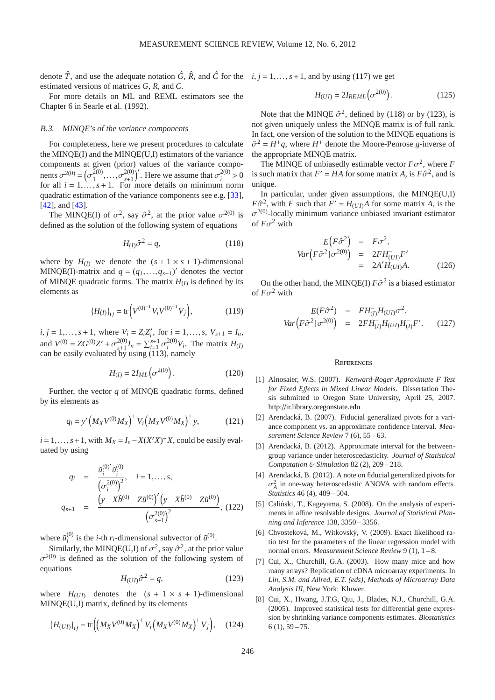denote  $\hat{T}$ , and use the adequate notation  $\hat{G}$ ,  $\hat{R}$ , and  $\hat{C}$  for the  $i, j = 1, ..., s + 1$ , and by using [\(117\)](#page-11-2) we get estimated versions of matrices *G*, *R*, and *C*.

For more details on ML and REML estimators see the Chapter 6 in Searle et al. (1992).

## B.3. MINQE's of the variance components

For completeness, here we present procedures to calculate the MINQE(I) and the MINQE(U,I) estimators of the variance components at given (prior) values of the variance components  $\sigma^{2(0)} = (\sigma_1^{\bar{2}(0)}$  $\sigma_{s+1}^{2(0)}, \ldots, \sigma_{s+1}^{2(0)}$  $\binom{2(0)}{s+1}$ . Here we assume that  $\sigma_i^{2(0)}$  $i^{2(0)} > 0$ for all  $i = 1, \ldots, s + 1$ . For more details on minimum norm quadratic estimation of the variance components see e.g. [\[33\]](#page-13-19), [\[42\]](#page-13-20), and [\[43\]](#page-13-21).

The MINQE(I) of  $\sigma^2$ , say  $\hat{\sigma}^2$ , at the prior value  $\sigma^{2(0)}$  is defined as the solution of the following system of equations

$$
H_{(I)}\hat{\sigma}^2 = q,\tag{118}
$$

where by  $H_{(I)}$  we denote the  $(s + 1 \times s + 1)$ -dimensional MINQE(I)-matrix and  $q = (q_1, \ldots, q_{s+1})'$  denotes the vector of MINQE quadratic forms. The matrix  $H_{(I)}$  is defined by its elements as

$$
\{H_{(I)}\}_{ij} = \text{tr}\bigg(V^{(0)^{-1}}V_iV^{(0)^{-1}}V_j\bigg),\tag{119}
$$

 $i, j = 1, \ldots, s + 1$ , where  $V_i = Z_i Z'_i$ , for  $i = 1, \ldots, s, V_{s+1} = I_n$ , and  $V^{(0)} = ZG^{(0)}Z' + \sigma_{s+1}^{2(0)}$  $\sum_{i=1}^{2(0)} I_n = \sum_{i=1}^{s+1} \sigma_i^{2(0)}$  $i^{2(0)}V_i$ . The matrix *H*<sub>(*I*)</sub> can be easily evaluated by using [\(113\)](#page-11-1), namely

$$
H_{(I)} = 2I_{ML}(\sigma^{2(0)}).
$$
 (120)

Further, the vector *q* of MINQE quadratic forms, defined by its elements as

$$
q_i = y' \left( M_X V^{(0)} M_X \right)^+ V_i \left( M_X V^{(0)} M_X \right)^+ y, \tag{121}
$$

 $i = 1, \ldots, s+1$ , with  $M_X = I_n - X(X'X)^{-X}$ , could be easily evaluated by using

$$
q_i = \frac{\tilde{u}_i^{(0)'} \tilde{u}_i^{(0)}}{\left(\sigma_i^{2(0)}\right)^2}, \quad i = 1, ..., s,
$$
  

$$
q_{s+1} = \frac{\left(y - X\tilde{b}^{(0)} - Z\tilde{u}^{(0)}\right)' \left(y - X\tilde{b}^{(0)} - Z\tilde{u}^{(0)}\right)}{\left(\sigma_{s+1}^{2(0)}\right)^2}, (122)
$$

where  $\tilde{u}_i^{(0)}$ <sup>(0)</sup> is the *i*-th *r*<sub>*i*</sub>-dimensional subvector of  $\tilde{u}^{(0)}$ .

<span id="page-12-9"></span>Similarly, the MINQE(U,I) of  $\sigma^2$ , say  $\hat{\sigma}^2$ , at the prior value  $\sigma^{2(0)}$  is defined as the solution of the following system of equations

$$
H_{(UI)}\hat{\sigma}^2 = q,\tag{123}
$$

where  $H_{(UI)}$  denotes the  $(s + 1 \times s + 1)$ -dimensional MINQE(U,I) matrix, defined by its elements

$$
\{H_{(UI)}\}_{ij} = \text{tr}\Big(\big(M_X V^{(0)} M_X\big)^+ V_i \big(M_X V^{(0)} M_X\big)^+ V_j\Big), \quad (124)
$$

$$
H_{(UI)} = 2I_{REML}(\sigma^{2(0)}). \tag{125}
$$

Note that the MINQE  $\hat{\sigma}^2$ , defined by [\(118\)](#page-12-8) or by [\(123\)](#page-12-9), is not given uniquely unless the MINQE matrix is of full rank. In fact, one version of the solution to the MINQE equations is  $\hat{\sigma}^2 = H^+q$ , where  $H^+$  denote the Moore-Penrose *g*-inverse of the appropriate MINQE matrix.

The MINQE of unbiasedly estimable vector  $F\sigma^2$ , where *F* is such matrix that  $F' = HA$  for some matrix *A*, is  $F\hat{\sigma}^2$ , and is unique.

<span id="page-12-8"></span>In particular, under given assumptions, the MINQE(U,I)  $F\hat{\sigma}^2$ , with *F* such that  $F' = H_{(UI)}A$  for some matrix *A*, is the  $\sigma^{2(0)}$ -locally minimum variance unbiased invariant estimator of  $F\sigma^2$  with

$$
E(F\hat{\sigma}^2) = F\sigma^2,
$$
  
\n
$$
Var(F\hat{\sigma}^2|\sigma^{2(0)}) = 2FH_{(UI)}^-F'
$$
  
\n
$$
= 2A'H_{(UI)}A.
$$
 (126)

On the other hand, the MINQE(I)  $F\hat{\sigma}^2$  is a biased estimator of  $F\sigma^2$  with

$$
E(F\hat{\sigma}^2) = FH^-_{(I)}H_{(UI)}\sigma^2,
$$
  
 
$$
Var\left(F\tilde{\sigma}^2|\sigma^{2(0)}\right) = 2FH^-_{(I)}H_{(UI)}H^-_{(I)}F'.
$$
 (127)

## **REFERENCES**

- <span id="page-12-7"></span>[1] Alnosaier, W.S. (2007). *Kenward-Roger Approximate F Test for Fixed E*ff*ects in Mixed Linear Models*. Dissertation Thesis submitted to Oregon State University, April 25, 2007. http://[ir.library.oregonstate.edu](http://ir.library.oregonstate.edu/xmlui/bitstream/handle/1957/5262/mydissertation.pdf)
- <span id="page-12-4"></span>[2] Arendacká, B. (2007). Fiducial generalized pivots for a variance component vs. an approximate confidence Interval. *Measurement Science Review* 7 (6), 55 – 63.
- <span id="page-12-5"></span>[3] Arendacká, B. (2012). Approximate interval for the betweengroup variance under heteroscedasticity. *Journal of Statistical Computation* & *Simulation* 82 (2), 209 – 218.
- <span id="page-12-6"></span>[4] Arendacká, B. (2012). A note on fiducial generalized pivots for  $\sigma_A^2$  in one-way heteroscedastic ANOVA with random effects. *Statistics* 46 (4), 489 – 504.
- <span id="page-12-2"></span>[5] Caliński, T., Kageyama, S. (2008). On the analysis of experiments in affine resolvable designs. *Journal of Statistical Planning and Inference* 138, 3350 – 3356.
- <span id="page-12-3"></span>[6] Chvosteková, M., Witkovský, V. (2009). Exact likelihood ratio test for the parameters of the linear regression model with normal errors. *Measurement Science Review* 9 (1), 1 – 8.
- <span id="page-12-0"></span>[7] Cui, X., Churchill, G.A. (2003). How many mice and how many arrays? Replication of cDNA microarray experiments. In *Lin, S.M. and Allred, E.T. (eds), Methods of Microarray Data Analysis III*, New York: Kluwer.
- <span id="page-12-1"></span>[8] Cui, X., Hwang, J.T.G, Qiu, J., Blades, N.J., Churchill, G.A. (2005). Improved statistical tests for differential gene expression by shrinking variance components estimates. *Biostatistics*  $6(1), 59-75.$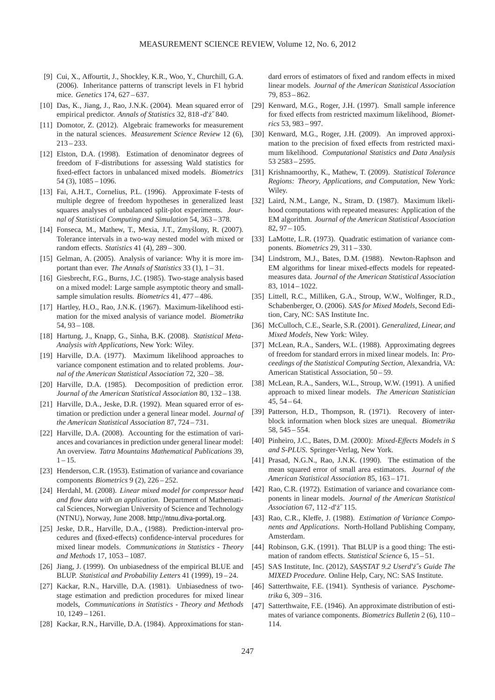- <span id="page-13-4"></span>[9] Cui, X., Affourtit, J., Shockley, K.R., Woo, Y., Churchill, G.A. (2006). Inheritance patterns of transcript levels in F1 hybrid mice. *Genetics* 174, 627 – 637.
- <span id="page-13-36"></span>[10] Das, K., Jiang, J., Rao, J.N.K. (2004). Mean squared error of empirical predictor. *Annals of Statistics* 32, 818 -d' $\zeta$ <sup>2</sup>840.
- <span id="page-13-3"></span>[11] Domotor, Z. (2012). Algebraic frameworks for measurement in the natural sciences. *Measurement Science Review* 12 (6), 213 – 233.
- <span id="page-13-25"></span>[12] Elston, D.A. (1998). Estimation of denominator degrees of freedom of F-distributions for assessing Wald statistics for fixed-effect factors in unbalanced mixed models. *Biometrics*  $54(3)$ ,  $1085 - 1096$ .
- <span id="page-13-22"></span>[13] Fai, A.H.T., Cornelius, P.L. (1996). Approximate F-tests of multiple degree of freedom hypotheses in generalized least squares analyses of unbalanced split-plot experiments. *Journal of Statistical Computing and Simulation* 54, 363 – 378.
- <span id="page-13-6"></span>[14] Fonseca, M., Mathew, T., Mexia, J.T., Zmyślony, R. (2007). Tolerance intervals in a two-way nested model with mixed or random effects. *Statistics* 41 (4), 289 – 300.
- <span id="page-13-1"></span>[15] Gelman, A. (2005). Analysis of variance: Why it is more important than ever. *The Annals of Statistics* 33 (1), 1 – 31.
- <span id="page-13-23"></span>[16] Giesbrecht, F.G., Burns, J.C. (1985). Two-stage analysis based on a mixed model: Large sample asymptotic theory and smallsample simulation results. *Biometrics* 41, 477 – 486.
- <span id="page-13-15"></span>[17] Hartley, H.O., Rao, J.N.K. (1967). Maximum-likelihood estimation for the mixed analysis of variance model. *Biometrika* 54, 93 – 108.
- <span id="page-13-5"></span>[18] Hartung, J., Knapp, G., Sinha, B.K. (2008). *Statistical Meta-Analysis with Applications*, New York: Wiley.
- <span id="page-13-17"></span>[19] Harville, D.A. (1977). Maximum likelihood approaches to variance component estimation and to related problems. *Journal of the American Statistical Association* 72, 320 – 38.
- <span id="page-13-31"></span>[20] Harville, D.A. (1985). Decomposition of prediction error. *Journal of the American Statistical Association* 80, 132 – 138.
- <span id="page-13-34"></span>[21] Harville, D.A., Jeske, D.R. (1992). Mean squared error of estimation or prediction under a general linear model. *Journal of the American Statistical Association* 87, 724 – 731.
- <span id="page-13-28"></span>[22] Harville, D.A. (2008). Accounting for the estimation of variances and covariances in prediction under general linear model: An overview. *Tatra Mountains Mathematical Publications* 39,  $1 - 15$ .
- <span id="page-13-9"></span>[23] Henderson, C.R. (1953). Estimation of variance and covariance components *Biometrics* 9 (2), 226 – 252.
- <span id="page-13-7"></span>[24] Herdahl, M. (2008). *Linear mixed model for compressor head and flow data with an application*. Department of Mathematical Sciences, Norwegian University of Science and Technology (NTNU), Norway, June 2008. http://[ntnu.diva-portal.org.](http://ntnu.diva-portal.org/smash/record.jsf?pid=diva2:350609)
- <span id="page-13-32"></span>[25] Jeske, D.R., Harville, D.A., (1988). Prediction-interval procedures and (fixed-effects) confidence-interval procedures for mixed linear models. *Communications in Statistics - Theory and Methods* 17, 1053 – 1087.
- <span id="page-13-35"></span>[26] Jiang, J. (1999). On unbiasedness of the empirical BLUE and BLUP. *Statistical and Probability Letters* 41 (1999), 19 – 24.
- <span id="page-13-29"></span>[27] Kackar, R.N., Harville, D.A. (1981). Unbiasedness of twostage estimation and prediction procedures for mixed linear models, *Communications in Statistics - Theory and Methods* 10, 1249 – 1261.
- <span id="page-13-30"></span>[28] Kackar, R.N., Harville, D.A. (1984). Approximations for stan-

dard errors of estimators of fixed and random effects in mixed linear models. *Journal of the American Statistical Association* 79, 853 – 862.

- <span id="page-13-37"></span>[29] Kenward, M.G., Roger, J.H. (1997). Small sample inference for fixed effects from restricted maximum likelihood, *Biometrics* 53, 983 – 997.
- <span id="page-13-38"></span>[30] Kenward, M.G., Roger, J.H. (2009). An improved approximation to the precision of fixed effects from restricted maximum likelihood. *Computational Statistics and Data Analysis* 53 2583 – 2595.
- <span id="page-13-8"></span>[31] Krishnamoorthy, K., Mathew, T. (2009). *Statistical Tolerance Regions: Theory, Applications, and Computation*, New York: Wiley.
- <span id="page-13-18"></span>[32] Laird, N.M., Lange, N., Stram, D. (1987). Maximum likelihood computations with repeated measures: Application of the EM algorithm. *Journal of the American Statistical Association* 82, 97 – 105.
- <span id="page-13-19"></span>[33] LaMotte, L.R. (1973). Quadratic estimation of variance components. *Biometrics* 29, 311 – 330.
- <span id="page-13-11"></span>[34] Lindstrom, M.J., Bates, D.M. (1988). Newton-Raphson and EM algorithms for linear mixed-effects models for repeatedmeasures data. *Journal of the American Statistical Association* 83, 1014 – 1022.
- <span id="page-13-13"></span>[35] Littell, R.C., Milliken, G.A., Stroup, W.W., Wolfinger, R.D., Schabenberger, O. (2006). *SAS for Mixed Models*, Second Edition, Cary, NC: SAS Institute Inc.
- <span id="page-13-2"></span>[36] McCulloch, C.E., Searle, S.R. (2001). *Generalized, Linear, and Mixed Models*, New York: Wiley.
- <span id="page-13-24"></span>[37] McLean, R.A., Sanders, W.L. (1988). Approximating degrees of freedom for standard errors in mixed linear models. In: *Proceedings of the Statistical Computing Section*, Alexandria, VA: American Statistical Association, 50 – 59.
- <span id="page-13-10"></span>[38] McLean, R.A., Sanders, W.L., Stroup, W.W. (1991). A unified approach to mixed linear models. *The American Statistician*  $45, 54 - 64.$
- <span id="page-13-16"></span>[39] Patterson, H.D., Thompson, R. (1971). Recovery of interblock information when block sizes are unequal. *Biometrika* 58, 545 – 554.
- <span id="page-13-14"></span>[40] Pinheiro, J.C., Bates, D.M. (2000): *Mixed-E*ff*ects Models in S and S-PLUS*. Springer-Verlag, New York.
- <span id="page-13-33"></span>[41] Prasad, N.G.N., Rao, J.N.K. (1990). The estimation of the mean squared error of small area estimators. *Journal of the American Statistical Association* 85, 163 – 171.
- <span id="page-13-20"></span>[42] Rao, C.R. (1972). Estimation of variance and covariance components in linear models. *Journal of the American Statistical Association* 67, 112 -d'˙z˝ 115.
- <span id="page-13-21"></span>[43] Rao, C.R., Kleffe, J. (1988). *Estimation of Variance Components and Applications*. North-Holland Publishing Company, Amsterdam.
- <span id="page-13-0"></span>[44] Robinson, G.K. (1991). That BLUP is a good thing: The estimation of random effects. *Statistical Science* 6, 15 - 51.
- <span id="page-13-12"></span>[45] SAS Institute, Inc. (2012), *SAS*/*STAT 9.2 Userd'˙z˝s Guide The MIXED Procedure*. Online Help, Cary, NC: SAS Institute.
- <span id="page-13-26"></span>[46] Satterthwaite, F.E. (1941). Synthesis of variance. *Pyschometrika* 6, 309 – 316.
- <span id="page-13-27"></span>[47] Satterthwaite, F.E. (1946). An approximate distribution of estimates of variance components. *Biometrics Bulletin* 2 (6), 110 – 114.